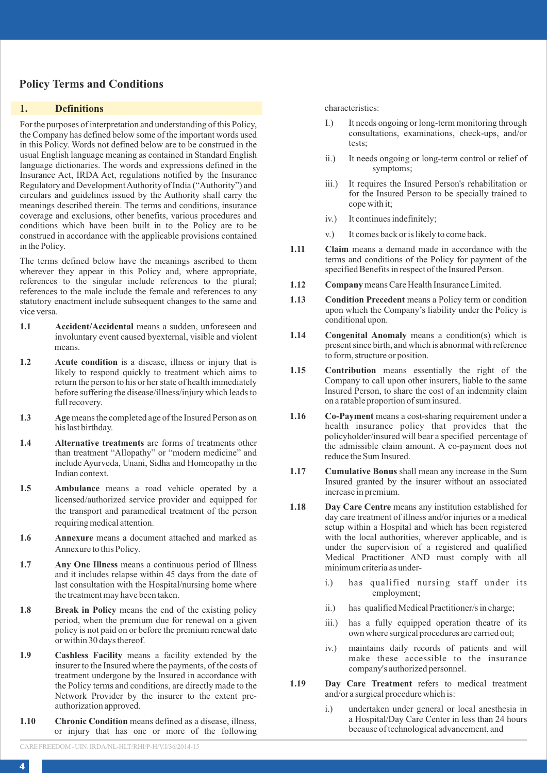# **Policy Terms and Conditions**

## **1. Definitions**

For the purposes of interpretation and understanding of this Policy, the Company has defined below some of the important words used in this Policy. Words not defined below are to be construed in the usual English language meaning as contained in Standard English language dictionaries. The words and expressions defined in the Insurance Act, IRDA Act, regulations notified by the Insurance Regulatory and Development Authority of India ("Authority") and circulars and guidelines issued by the Authority shall carry the meanings described therein. The terms and conditions, insurance coverage and exclusions, other benefits, various procedures and conditions which have been built in to the Policy are to be construed in accordance with the applicable provisions contained in the Policy.

The terms defined below have the meanings ascribed to them wherever they appear in this Policy and, where appropriate, references to the singular include references to the plural; references to the male include the female and references to any statutory enactment include subsequent changes to the same and vice versa.

- **1.1 Accident/Accidental** means a sudden, unforeseen and involuntary event caused byexternal, visible and violent means.
- **1.2** Acute condition is a disease, illness or injury that is likely to respond quickly to treatment which aims to return the person to his or her state of health immediately before suffering the disease/illness/injury which leads to full recovery.
- **1.3 Age**means the completed age of the Insured Person as on his last birthday.
- **1.4 Alternative treatments** are forms of treatments other than treatment "Allopathy" or "modern medicine" and include Ayurveda, Unani, Sidha and Homeopathy in the Indian context.
- **1.5 Ambulance** means a road vehicle operated by a licensed/authorized service provider and equipped for the transport and paramedical treatment of the person requiring medical attention.
- **1.6 Annexure** means a document attached and marked as Annexure to this Policy.
- **1.7 Any One Illness** means a continuous period of Illness and it includes relapse within 45 days from the date of last consultation with the Hospital/nursing home where the treatment may have been taken.
- **1.8 Break in Policy** means the end of the existing policy period, when the premium due for renewal on a given policy is not paid on or before the premium renewal date or within 30 days thereof.
- **1.9 Cashless Facility** means a facility extended by the insurer to the Insured where the payments, of the costs of treatment undergone by the Insured in accordance with the Policy terms and conditions, are directly made to the Network Provider by the insurer to the extent preauthorization approved.
- **1.10 Chronic Condition** means defined as a disease, illness, or injury that has one or more of the following

characteristics:

- I.) It needs ongoing or long-term monitoring through consultations, examinations, check-ups, and/or tests;
- ii.) It needs ongoing or long-term control or relief of symptoms;
- iii.) It requires the Insured Person's rehabilitation or for the Insured Person to be specially trained to cope with it;
- iv.) It continues indefinitely;
- v.) It comes back or is likely to come back.
- **1.11 Claim** means a demand made in accordance with the terms and conditions of the Policy for payment of the specified Benefits in respect of the Insured Person.
- **1.12 Company**means Care Health Insurance Limited.
- **1.13 Condition Precedent** means a Policy term or condition upon which the Company's liability under the Policy is conditional upon.
- **1.14 Congenital Anomaly** means a condition(s) which is present since birth, and which is abnormal with reference to form, structure or position.
- **1.15 Contribution** means essentially the right of the Company to call upon other insurers, liable to the same Insured Person, to share the cost of an indemnity claim on a ratable proportion of sum insured.
- **1.16 Co-Payment** means a cost-sharing requirement under a health insurance policy that provides that the policyholder/insured will bear a specified percentage of the admissible claim amount. A co-payment does not reduce the Sum Insured.
- **1.17 Cumulative Bonus** shall mean any increase in the Sum Insured granted by the insurer without an associated increase in premium.
- **1.18 Day Care Centre** means any institution established for day care treatment of illness and/or injuries or a medical setup within a Hospital and which has been registered with the local authorities, wherever applicable, and is under the supervision of a registered and qualified Medical Practitioner AND must comply with all minimum criteria as under
	- i.) has qualified nursing staff under its employment;
	- ii.) has qualified Medical Practitioner/s in charge;
	- iii.) has a fully equipped operation theatre of its own where surgical procedures are carried out;
	- iv.) maintains daily records of patients and will make these accessible to the insurance company's authorized personnel.
- **1.19 Day Care Treatment** refers to medical treatment and/or a surgical procedure which is:
	- i.) undertaken under general or local anesthesia in a Hospital/Day Care Center in less than 24 hours because of technological advancement, and

CARE FREEDOM - UIN: IRDA/NL-HLT/RHI/P-H/V.I/36/2014-15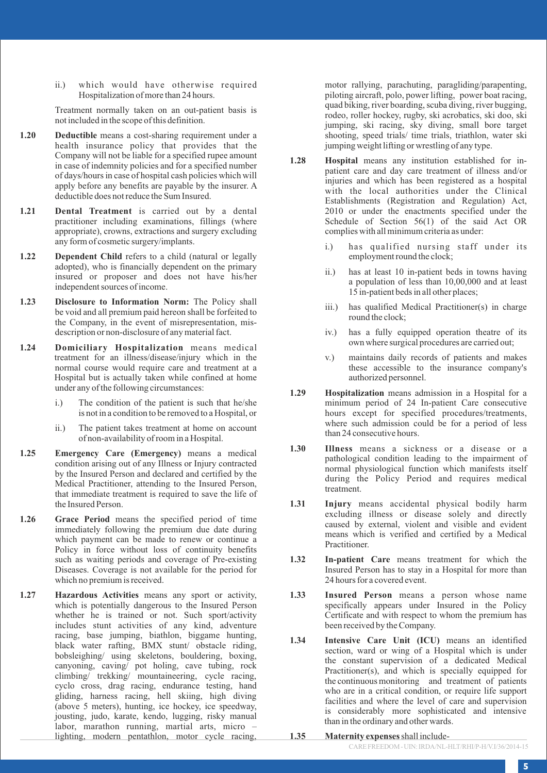ii.) which would have otherwise required Hospitalization of more than 24 hours.

Treatment normally taken on an out-patient basis is not included in the scope of this definition.

- **1.20 Deductible** means a cost-sharing requirement under a health insurance policy that provides that the Company will not be liable for a specified rupee amount in case of indemnity policies and for a specified number of days/hours in case of hospital cash policies which will apply before any benefits are payable by the insurer. A deductible does not reduce the Sum Insured.
- **1.21 Dental Treatment** is carried out by a dental practitioner including examinations, fillings (where appropriate), crowns, extractions and surgery excluding any form of cosmetic surgery/implants.
- **1.22** Dependent Child refers to a child (natural or legally adopted), who is financially dependent on the primary insured or proposer and does not have his/her independent sources of income.
- **1.23 Disclosure to Information Norm:** The Policy shall be void and all premium paid hereon shall be forfeited to the Company, in the event of misrepresentation, misdescription or non-disclosure of any material fact.
- **1.24 Domiciliary Hospitalization** means medical treatment for an illness/disease/injury which in the normal course would require care and treatment at a Hospital but is actually taken while confined at home under any of the following circumstances:
	- i.) The condition of the patient is such that he/she is not in a condition to be removed to a Hospital, or
	- ii.) The patient takes treatment at home on account of non-availability of room in a Hospital.
- **1.25 Emergency Care (Emergency)** means a medical condition arising out of any Illness or Injury contracted by the Insured Person and declared and certified by the Medical Practitioner, attending to the Insured Person, that immediate treatment is required to save the life of the Insured Person.
- **1.26 Grace Period** means the specified period of time immediately following the premium due date during which payment can be made to renew or continue a Policy in force without loss of continuity benefits such as waiting periods and coverage of Pre-existing Diseases. Coverage is not available for the period for which no premium is received.
- **1.27 Hazardous Activities** means any sport or activity, which is potentially dangerous to the Insured Person whether he is trained or not. Such sport/activity includes stunt activities of any kind, adventure racing, base jumping, biathlon, biggame hunting, black water rafting, BMX stunt/ obstacle riding, bobsleighing/ using skeletons, bouldering, boxing, canyoning, caving/ pot holing, cave tubing, rock climbing/ trekking/ mountaineering, cycle racing, cyclo cross, drag racing, endurance testing, hand gliding, harness racing, hell skiing, high diving (above 5 meters), hunting, ice hockey, ice speedway, jousting, judo, karate, kendo, lugging, risky manual labor, marathon running, martial arts, micro – lighting, modern pentathlon, motor cycle racing,

motor rallying, parachuting, paragliding/parapenting, piloting aircraft, polo, power lifting, power boat racing, quad biking, river boarding, scuba diving, river bugging, rodeo, roller hockey, rugby, ski acrobatics, ski doo, ski jumping, ski racing, sky diving, small bore target shooting, speed trials/ time trials, triathlon, water ski jumping weight lifting or wrestling of any type.

- **1.28 Hospital** means any institution established for inpatient care and day care treatment of illness and/or injuries and which has been registered as a hospital with the local authorities under the Clinical Establishments (Registration and Regulation) Act, 2010 or under the enactments specified under the Schedule of Section 56(1) of the said Act OR complies with all minimum criteria as under:
	- i.) has qualified nursing staff under its employment round the clock;
	- ii.) has at least 10 in-patient beds in towns having a population of less than 10,00,000 and at least 15 in-patient beds in all other places;
	- iii.) has qualified Medical Practitioner(s) in charge round the clock;
	- iv.) has a fully equipped operation theatre of its own where surgical procedures are carried out;
	- v.) maintains daily records of patients and makes these accessible to the insurance company's authorized personnel.
- **1.29 Hospitalization** means admission in a Hospital for a minimum period of 24 In-patient Care consecutive hours except for specified procedures/treatments, where such admission could be for a period of less than 24 consecutive hours.
- **1.30 Illness** means a sickness or a disease or a pathological condition leading to the impairment of normal physiological function which manifests itself during the Policy Period and requires medical treatment.
- **1.31 Injury** means accidental physical bodily harm excluding illness or disease solely and directly caused by external, violent and visible and evident means which is verified and certified by a Medical Practitioner.
- **1.32 In-patient Care** means treatment for which the Insured Person has to stay in a Hospital for more than 24 hours for a covered event.
- **1.33 Insured Person** means a person whose name specifically appears under Insured in the Policy Certificate and with respect to whom the premium has been received by the Company.
- **1.34 Intensive Care Unit (ICU)** means an identified section, ward or wing of a Hospital which is under the constant supervision of a dedicated Medical Practitioner(s), and which is specially equipped for the continuous monitoring and treatment of patients who are in a critical condition, or require life support facilities and where the level of care and supervision is considerably more sophisticated and intensive than in the ordinary and other wards.
- **1.35 Maternity expenses**shall include-

CARE FREEDOM - UIN: IRDA/NL-HLT/RHI/P-H/V.I/36/2014-15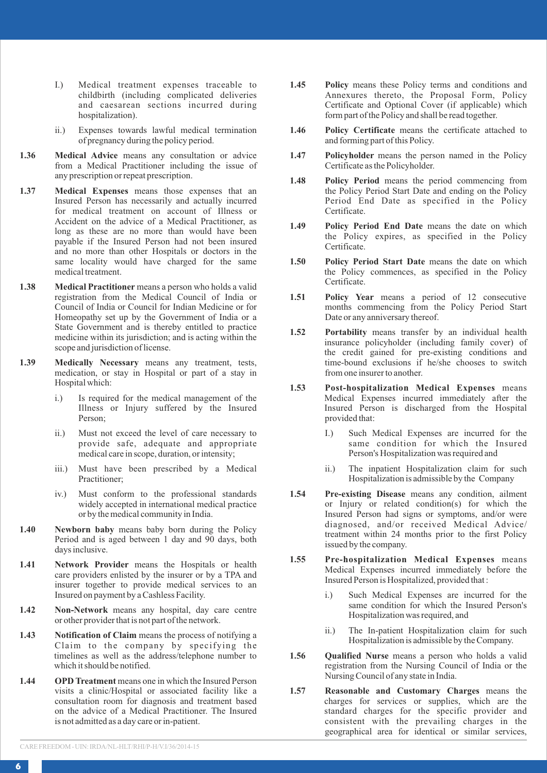- I.) Medical treatment expenses traceable to childbirth (including complicated deliveries and caesarean sections incurred during hospitalization).
- ii.) Expenses towards lawful medical termination of pregnancy during the policy period.
- **1.36 Medical Advice** means any consultation or advice from a Medical Practitioner including the issue of any prescription or repeat prescription.
- **1.37 Medical Expenses** means those expenses that an Insured Person has necessarily and actually incurred for medical treatment on account of Illness or Accident on the advice of a Medical Practitioner, as long as these are no more than would have been payable if the Insured Person had not been insured and no more than other Hospitals or doctors in the same locality would have charged for the same medical treatment.
- **1.38 Medical Practitioner** means a person who holds a valid registration from the Medical Council of India or Council of India or Council for Indian Medicine or for Homeopathy set up by the Government of India or a State Government and is thereby entitled to practice medicine within its jurisdiction; and is acting within the scope and jurisdiction of license.
- **1.39 Medically Necessary** means any treatment, tests, medication, or stay in Hospital or part of a stay in Hospital which:
	- i.) Is required for the medical management of the Illness or Injury suffered by the Insured Person;
	- ii.) Must not exceed the level of care necessary to provide safe, adequate and appropriate medical care in scope, duration, or intensity;
	- iii.) Must have been prescribed by a Medical Practitioner;
	- iv.) Must conform to the professional standards widely accepted in international medical practice or by the medical community in India.
- **1.40 Newborn baby** means baby born during the Policy Period and is aged between 1 day and 90 days, both days inclusive.
- **1.41 Network Provider** means the Hospitals or health care providers enlisted by the insurer or by a TPA and insurer together to provide medical services to an Insured on payment by a Cashless Facility.
- **1.42 Non-Network** means any hospital, day care centre or other provider that is not part of the network.
- **1.43 Notification of Claim** means the process of notifying a Claim to the company by specifying the timelines as well as the address/telephone number to which it should be notified.
- **1.44 OPD Treatment** means one in which the Insured Person visits a clinic/Hospital or associated facility like a consultation room for diagnosis and treatment based on the advice of a Medical Practitioner. The Insured is not admitted as a day care or in-patient.
- **1.45 Policy** means these Policy terms and conditions and Annexures thereto, the Proposal Form, Policy Certificate and Optional Cover (if applicable) which form part of the Policy and shall be read together.
- **1.46 Policy Certificate** means the certificate attached to and forming part of this Policy.
- **1.47 Policyholder** means the person named in the Policy Certificate as the Policyholder.
- **1.48 Policy Period** means the period commencing from the Policy Period Start Date and ending on the Policy Period End Date as specified in the Policy Certificate.
- **1.49 Policy Period End Date** means the date on which the Policy expires, as specified in the Policy Certificate.
- **1.50 Policy Period Start Date** means the date on which the Policy commences, as specified in the Policy Certificate.
- **1.51 Policy Year** means a period of 12 consecutive months commencing from the Policy Period Start Date or any anniversary thereof.
- **1.52 Portability** means transfer by an individual health insurance policyholder (including family cover) of the credit gained for pre-existing conditions and time-bound exclusions if he/she chooses to switch from one insurer to another.
- **1.53 Post-hospitalization Medical Expenses** means Medical Expenses incurred immediately after the Insured Person is discharged from the Hospital provided that:
	- I.) Such Medical Expenses are incurred for the same condition for which the Insured Person's Hospitalization was required and
	- ii.) The inpatient Hospitalization claim for such Hospitalization is admissible by the Company
- **1.54 Pre-existing Disease** means any condition, ailment or Injury or related condition(s) for which the Insured Person had signs or symptoms, and/or were diagnosed, and/or received Medical Advice/ treatment within 24 months prior to the first Policy issued by the company.
- **1.55 Pre-hospitalization Medical Expenses** means Medical Expenses incurred immediately before the Insured Person is Hospitalized, provided that :
	- i.) Such Medical Expenses are incurred for the same condition for which the Insured Person's Hospitalization was required, and
	- ii.) The In-patient Hospitalization claim for such Hospitalization is admissible by the Company.
- **1.56 Qualified Nurse** means a person who holds a valid registration from the Nursing Council of India or the Nursing Council of any state in India.
- **1.57 Reasonable and Customary Charges** means the charges for services or supplies, which are the standard charges for the specific provider and consistent with the prevailing charges in the geographical area for identical or similar services,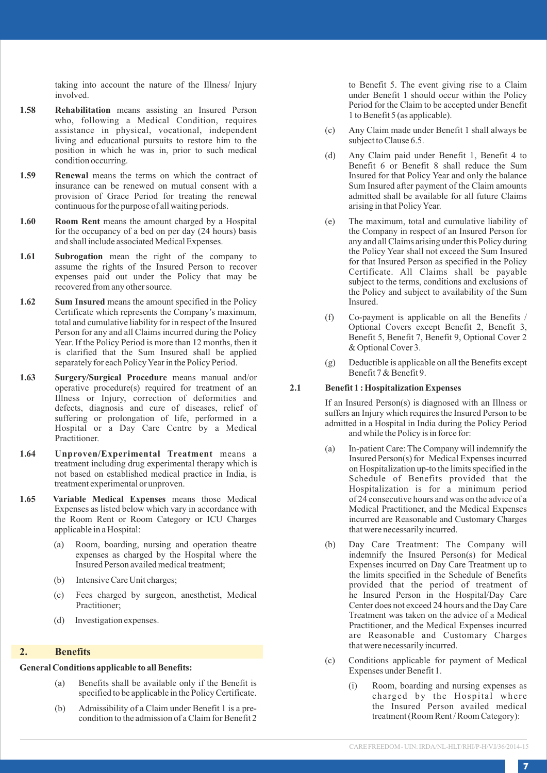taking into account the nature of the Illness/ Injury involved.

- **1.58 Rehabilitation** means assisting an Insured Person who, following a Medical Condition, requires assistance in physical, vocational, independent living and educational pursuits to restore him to the position in which he was in, prior to such medical condition occurring.
- **1.59 Renewal** means the terms on which the contract of insurance can be renewed on mutual consent with a provision of Grace Period for treating the renewal continuous for the purpose of all waiting periods.
- 1.60 **Room Rent** means the amount charged by a Hospital for the occupancy of a bed on per day (24 hours) basis and shall include associated Medical Expenses.
- **1.61 Subrogation** mean the right of the company to assume the rights of the Insured Person to recover expenses paid out under the Policy that may be recovered from any other source.
- **1.62** Sum Insured means the amount specified in the Policy Certificate which represents the Company's maximum, total and cumulative liability for in respect of the Insured Person for any and all Claims incurred during the Policy Year. If the Policy Period is more than 12 months, then it is clarified that the Sum Insured shall be applied separately for each Policy Year in the Policy Period.
- **1.63 Surgery/Surgical Procedure** means manual and/or operative procedure(s) required for treatment of an Illness or Injury, correction of deformities and defects, diagnosis and cure of diseases, relief of suffering or prolongation of life, performed in a Hospital or a Day Care Centre by a Medical Practitioner.
- **1.64 Unproven/Experimental Treatment** means a treatment including drug experimental therapy which is not based on established medical practice in India, is treatment experimental or unproven.
- **1.65 Variable Medical Expenses** means those Medical Expenses as listed below which vary in accordance with the Room Rent or Room Category or ICU Charges applicable in a Hospital:
	- (a) Room, boarding, nursing and operation theatre expenses as charged by the Hospital where the Insured Person availed medical treatment;
	- (b) Intensive Care Unit charges;
	- (c) Fees charged by surgeon, anesthetist, Medical Practitioner;
	- (d) Investigation expenses.

## **2. Benefits**

### **General Conditions applicable to all Benefits:**

- (a) Benefits shall be available only if the Benefit is specified to be applicable in the Policy Certificate.
- (b) Admissibility of a Claim under Benefit 1 is a precondition to the admission of a Claim for Benefit 2

to Benefit 5. The event giving rise to a Claim under Benefit 1 should occur within the Policy Period for the Claim to be accepted under Benefit 1 to Benefit 5 (as applicable).

- (c) Any Claim made under Benefit 1 shall always be subject to Clause 6.5.
- (d) Any Claim paid under Benefit 1, Benefit 4 to Benefit 6 or Benefit 8 shall reduce the Sum Insured for that Policy Year and only the balance Sum Insured after payment of the Claim amounts admitted shall be available for all future Claims arising in that Policy Year.
- (e) The maximum, total and cumulative liability of the Company in respect of an Insured Person for any and all Claims arising under this Policy during the Policy Year shall not exceed the Sum Insured for that Insured Person as specified in the Policy Certificate. All Claims shall be payable subject to the terms, conditions and exclusions of the Policy and subject to availability of the Sum Insured.
- (f) Co-payment is applicable on all the Benefits / Optional Covers except Benefit 2, Benefit 3, Benefit 5, Benefit 7, Benefit 9, Optional Cover 2 & Optional Cover 3.
- (g) Deductible is applicable on all the Benefits except Benefit 7 & Benefit 9.

## **2.1 Benefit 1 : Hospitalization Expenses**

If an Insured Person(s) is diagnosed with an Illness or suffers an Injury which requires the Insured Person to be admitted in a Hospital in India during the Policy Period and while the Policy is in force for:

- (a) In-patient Care: The Company will indemnify the Insured Person(s) for Medical Expenses incurred on Hospitalization up-to the limits specified in the Schedule of Benefits provided that the Hospitalization is for a minimum period of 24 consecutive hours and was on the advice of a Medical Practitioner, and the Medical Expenses incurred are Reasonable and Customary Charges that were necessarily incurred.
- (b) Day Care Treatment: The Company will indemnify the Insured Person(s) for Medical Expenses incurred on Day Care Treatment up to the limits specified in the Schedule of Benefits provided that the period of treatment of he Insured Person in the Hospital/Day Care Center does not exceed 24 hours and the Day Care Treatment was taken on the advice of a Medical Practitioner, and the Medical Expenses incurred are Reasonable and Customary Charges that were necessarily incurred.
- (c) Conditions applicable for payment of Medical Expenses under Benefit 1.
	- (i) Room, boarding and nursing expenses as charged by the Hospital where the Insured Person availed medical treatment (Room Rent / Room Category):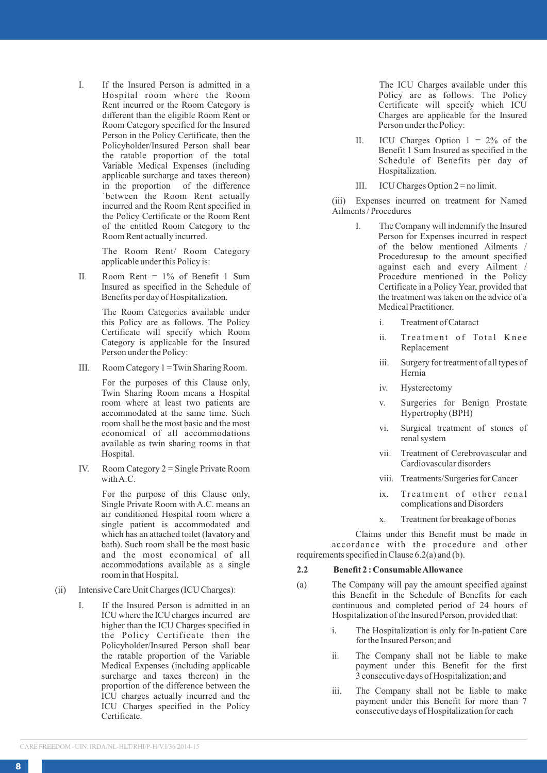I. If the Insured Person is admitted in a Hospital room where the Room Rent incurred or the Room Category is different than the eligible Room Rent or Room Category specified for the Insured Person in the Policy Certificate, then the Policyholder/Insured Person shall bear the ratable proportion of the total Variable Medical Expenses (including applicable surcharge and taxes thereon) in the proportion of the difference `between the Room Rent actually incurred and the Room Rent specified in the Policy Certificate or the Room Rent of the entitled Room Category to the Room Rent actually incurred.

> The Room Rent/ Room Category applicable under this Policy is:

II. Room Rent = 1% of Benefit 1 Sum Insured as specified in the Schedule of Benefits per day of Hospitalization.

> The Room Categories available under this Policy are as follows. The Policy Certificate will specify which Room Category is applicable for the Insured Person under the Policy:

III. Room Category 1 = Twin Sharing Room.

For the purposes of this Clause only, Twin Sharing Room means a Hospital room where at least two patients are accommodated at the same time. Such room shall be the most basic and the most economical of all accommodations available as twin sharing rooms in that Hospital.

IV. Room Category 2 = Single Private Room with A.C.

> For the purpose of this Clause only, Single Private Room with A.C. means an air conditioned Hospital room where a single patient is accommodated and which has an attached toilet (lavatory and bath). Such room shall be the most basic and the most economical of all accommodations available as a single room in that Hospital.

- (ii) Intensive Care Unit Charges (ICU Charges):
	- I. If the Insured Person is admitted in an ICU where the ICU charges incurred are higher than the ICU Charges specified in the Policy Certificate then the Policyholder/Insured Person shall bear the ratable proportion of the Variable Medical Expenses (including applicable surcharge and taxes thereon) in the proportion of the difference between the ICU charges actually incurred and the ICU Charges specified in the Policy Certificate.

The ICU Charges available under this Policy are as follows. The Policy Certificate will specify which ICU Charges are applicable for the Insured Person under the Policy:

- II. ICU Charges Option  $1 = 2\%$  of the Benefit 1 Sum Insured as specified in the Schedule of Benefits per day of Hospitalization.
- III. ICU Charges Option 2 = no limit.

(iii) Expenses incurred on treatment for Named Ailments / Procedures

- The Company will indemnify the Insured Person for Expenses incurred in respect of the below mentioned Ailments / Proceduresup to the amount specified against each and every Ailment / Procedure mentioned in the Policy Certificate in a Policy Year, provided that the treatment was taken on the advice of a Medical Practitioner.
	- i. Treatment of Cataract
	- ii. Treatment of Total Knee Replacement
	- iii. Surgery for treatment of all types of Hernia
	- iv. Hysterectomy
	- v. Surgeries for Benign Prostate Hypertrophy (BPH)
	- vi. Surgical treatment of stones of renal system
	- vii. Treatment of Cerebrovascular and Cardiovascular disorders
	- viii. Treatments/Surgeries for Cancer
	- ix. Treatment of other renal complications and Disorders
	- x. Treatment for breakage of bones

Claims under this Benefit must be made in accordance with the procedure and other requirements specified in Clause 6.2(a) and (b).

## **2.2 Benefit 2 : Consumable Allowance**

- (a) The Company will pay the amount specified against this Benefit in the Schedule of Benefits for each continuous and completed period of 24 hours of Hospitalization of the Insured Person, provided that:
	- i. The Hospitalization is only for In-patient Care for the Insured Person; and
	- ii. The Company shall not be liable to make payment under this Benefit for the first 3 consecutive days of Hospitalization; and
	- iii. The Company shall not be liable to make payment under this Benefit for more than 7 consecutive days of Hospitalization for each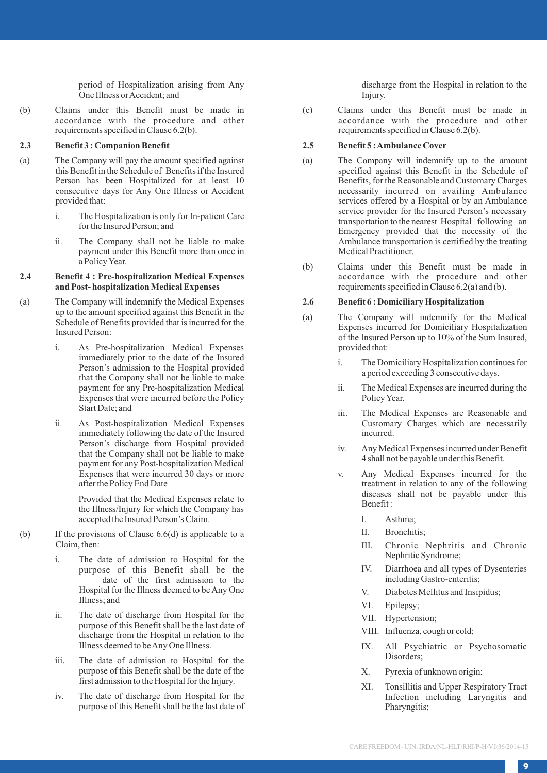period of Hospitalization arising from Any One Illness or Accident; and

(b) Claims under this Benefit must be made in accordance with the procedure and other requirements specified in Clause 6.2(b).

## **2.3 Benefit 3 : Companion Benefit**

- (a) The Company will pay the amount specified against this Benefit in the Schedule of Benefits if the Insured Person has been Hospitalized for at least 10 consecutive days for Any One Illness or Accident provided that:
	- i. The Hospitalization is only for In-patient Care for the Insured Person; and
	- ii. The Company shall not be liable to make payment under this Benefit more than once in a Policy Year .

## **2.4 Benefit 4 : Pre-hospitalization Medical Expenses and Post- hospitalization Medical Expenses**

- (a) The Company will indemnify the Medical Expenses up to the amount specified against this Benefit in the Schedule of Benefits provided that is incurred for the Insured Person:
	- i. As Pre-hospitalization Medical Expenses immediately prior to the date of the Insured Person's admission to the Hospital provided that the Company shall not be liable to make payment for any Pre-hospitalization Medical Expenses that were incurred before the Policy Start Date; and
	- ii. As Post-hospitalization Medical Expenses immediately following the date of the Insured Person's discharge from Hospital provided that the Company shall not be liable to make payment for any Post-hospitalization Medical Expenses that were incurred 30 days or more after the Policy End Date

Provided that the Medical Expenses relate to the Illness/Injury for which the Company has accepted the Insured Person's Claim.

- (b) If the provisions of Clause 6.6(d) is applicable to a Claim, then:
	- i. The date of admission to Hospital for the purpose of this Benefit shall be the date of the first admission to the Hospital for the Illness deemed to be Any One Illness; and
	- ii. The date of discharge from Hospital for the purpose of this Benefit shall be the last date of discharge from the Hospital in relation to the Illness deemed to be Any One Illness.
	- iii. The date of admission to Hospital for the purpose of this Benefit shall be the date of the first admission to the Hospital for the Injury .
	- iv. The date of discharge from Hospital for the purpose of this Benefit shall be the last date of

discharge from the Hospital in relation to the Injury .

(c) Claims under this Benefit must be made in accordance with the procedure and other requirements specified in Clause 6.2(b).

### **2.5 Benefit 5 : Ambulance Cover**

- (a) The Company will indemnify up to the amount specified against this Benefit in the Schedule of Benefits, for the Reasonable and Customary Charges necessarily incurred on availing Ambulance services offered by a Hospital or by an Ambulance service provider for the Insured Person's necessary transportation to the nearest Hospital following an Emergency provided that the necessity of the Ambulance transportation is certified by the treating Medical Practitioner .
- (b) Claims under this Benefit must be made in accordance with the procedure and other requirements specified in Clause 6.2(a) and (b).

#### **2.6 Benefit 6 : Domiciliary Hospitalization**

- (a) The Company will indemnify for the Medical Expenses incurred for Domiciliary Hospitalization of the Insured Person up to 10% of the Sum Insured, provided that:
	- i. The Domiciliary Hospitalization continues for a period exceeding 3 consecutive days.
	- ii. The Medical Expenses are incurred during the Policy Year .
	- iii. The Medical Expenses are Reasonable and Customary Charges which are necessarily incurred.
	- iv. Any Medical Expenses incurred under Benefit 4 shall not be payable under this Benefit.
	- v. Any Medical Expenses incurred for the treatment in relation to any of the following diseases shall not be payable under this Benefit :
		- I. Asthma;
		- II. Bronchitis;
		- III. Chronic Nephritis and Chronic Nephritic Syndrome;
		- IV. Diarrhoea and all types of Dysenteries including Gastro-enteritis;
		- V. Diabetes Mellitus and Insipidus;
		- VI. Epilepsy;
		- VII. Hypertension;
		- VIII. Influenza, cough or cold;
		- IX. All Psychiatric or Psychosomatic Disorders;
		- X. Pyrexia of unknown origin;
		- XI. Tonsillitis and Upper Respiratory Tract Infection including Laryngitis and Pharyngitis;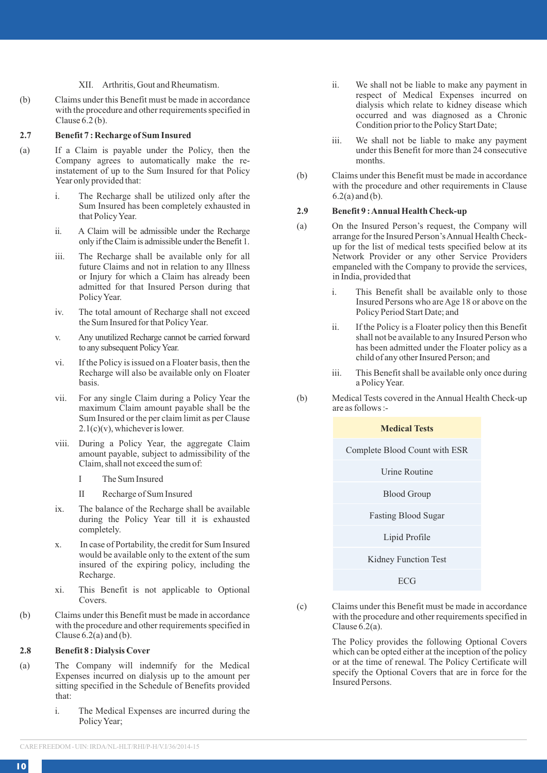#### XII. Arthritis, Gout and Rheumatism.

(b) Claims under this Benefit must be made in accordance with the procedure and other requirements specified in Clause 6.2 (b).

#### **2.7 Benefit 7 : Recharge of Sum Insured**

- (a) If a Claim is payable under the Policy, then the Company agrees to automatically make the reinstatement of up to the Sum Insured for that Policy Year only provided that:
	- i. The Recharge shall be utilized only after the Sum Insured has been completely exhausted in that Policy Year.
	- ii. A Claim will be admissible under the Recharge only if the Claim is admissible under the Benefit 1.
	- iii. The Recharge shall be available only for all future Claims and not in relation to any Illness or Injury for which a Claim has already been admitted for that Insured Person during that Policy Year.
	- iv. The total amount of Recharge shall not exceed the Sum Insured for that Policy Year.
	- Any unutilized Recharge cannot be carried forward to any subsequent Policy Year.
	- vi. If the Policy is issued on a Floater basis, then the Recharge will also be available only on Floater basis.
	- vii. For any single Claim during a Policy Year the maximum Claim amount payable shall be the Sum Insured or the per claim limit as per Clause  $2.1(c)(v)$ , whichever is lower.
	- viii. During a Policy Year, the aggregate Claim amount payable, subject to admissibility of the Claim, shall not exceed the sum of:
		- I The Sum Insured
		- Recharge of Sum Insured
	- ix. The balance of the Recharge shall be available during the Policy Year till it is exhausted completely.
	- x. In case of Portability, the credit for Sum Insured would be available only to the extent of the sum insured of the expiring policy, including the Recharge.
	- xi. This Benefit is not applicable to Optional Covers.
- (b) Claims under this Benefit must be made in accordance with the procedure and other requirements specified in Clause  $6.2(a)$  and  $(b)$ .

#### **2.8 Benefit 8 : Dialysis Cover**

- (a) The Company will indemnify for the Medical Expenses incurred on dialysis up to the amount per sitting specified in the Schedule of Benefits provided that:
	- i. The Medical Expenses are incurred during the Policy Year;
- ii. We shall not be liable to make any payment in respect of Medical Expenses incurred on dialysis which relate to kidney disease which occurred and was diagnosed as a Chronic Condition prior to the Policy Start Date;
- iii. We shall not be liable to make any payment under this Benefit for more than 24 consecutive months.
- (b) Claims under this Benefit must be made in accordance with the procedure and other requirements in Clause 6.2(a) and (b).

### **2.9 Benefit 9 : Annual Health Check-up**

- (a) On the Insured Person's request, the Company will arrange for the Insured Person's Annual Health Checkup for the list of medical tests specified below at its Network Provider or any other Service Providers empaneled with the Company to provide the services, in India, provided that
	- i. This Benefit shall be available only to those Insured Persons who are Age 18 or above on the Policy Period Start Date; and
	- ii. If the Policy is a Floater policy then this Benefit shall not be available to any Insured Person who has been admitted under the Floater policy as a child of any other Insured Person; and
	- iii. This Benefit shall be available only once during a Policy Year.
- (b) Medical Tests covered in the Annual Health Check-up are as follows :-

### **Medical Tests**

Complete Blood Count with ESR

Urine Routine Blood Group

Fasting Blood Sugar

Lipid Profile

Kidney Function Test

ECG

(c) Claims under this Benefit must be made in accordance with the procedure and other requirements specified in Clause 6.2(a).

> The Policy provides the following Optional Covers which can be opted either at the inception of the policy or at the time of renewal. The Policy Certificate will specify the Optional Covers that are in force for the Insured Persons.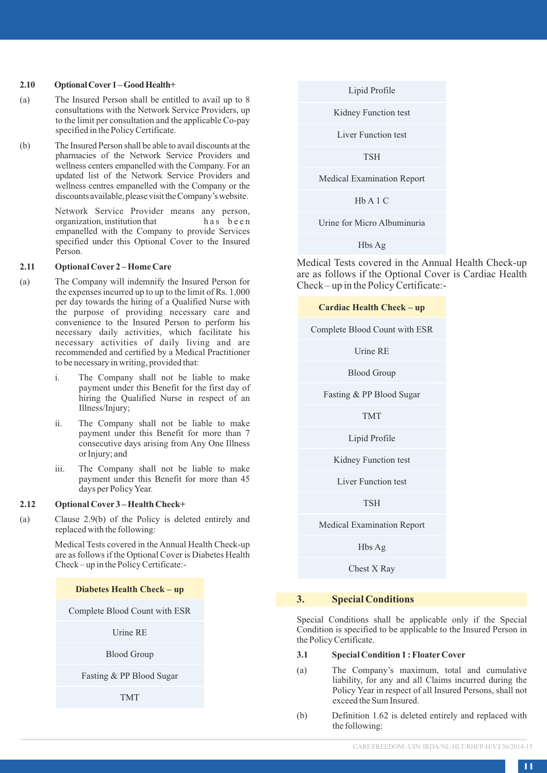#### **2.10 Optional Cover1 – Good Health+**

- (a) The Insured Person shall be entitled to avail up to 8 consultations with the Network Service Providers, up to the limit per consultation and the applicable Co-pay specified in the Policy Certificate.
- (b) The Insured Person shall be able to avail discounts at the pharmacies of the Network Service Providers and wellness centers empanelled with the Company. For an updated list of the Network Service Providers and wellness centres empanelled with the Company or the discounts available, please visit the Company's website.

Network Service Provider means any person, organization, institution that has been organization, institution that empanelled with the Company to provide Services specified under this Optional Cover to the Insured Person.

## **2.11 Optional Cover 2 – Home Care**

- (a) The Company will indemnify the Insured Person for the expenses incurred up to up to the limit of Rs. 1,000 per day towards the hiring of a Qualified Nurse with the purpose of providing necessary care and convenience to the Insured Person to perform his necessary daily activities, which facilitate his necessary activities of daily living and are recommended and certified by a Medical Practitioner to be necessary in writing, provided that:
	- i. The Company shall not be liable to make payment under this Benefit for the first day of hiring the Qualified Nurse in respect of an Illness/Injury;
	- ii. The Company shall not be liable to make payment under this Benefit for more than 7 consecutive days arising from Any One Illness or Injury; and
	- iii. The Company shall not be liable to make payment under this Benefit for more than 45 days per Policy Year.

## **2.12 Optional Cover 3 – Health Check+**

(a) Clause 2.9(b) of the Policy is deleted entirely and replaced with the following:

> Medical Tests covered in the Annual Health Check-up are as follows if the Optional Cover is Diabetes Health Check – up in the Policy Certificate:-

## **Diabetes Health Check – up**

Complete Blood Count with ESR

Urine RE

Blood Group

Fasting & PP Blood Sugar

TMT

Lipid Profile

Kidney Function test

Liver Function test

TSH

Medical Examination Report

Hb A 1 C

Urine for Micro Albuminuria

Hbs Ag

Medical Tests covered in the Annual Health Check-up are as follows if the Optional Cover is Cardiac Health Check – up in the Policy Certificate:-

#### **Cardiac Health Check – up**

Complete Blood Count with ESR

Urine RE

Blood Group

Fasting & PP Blood Sugar

TMT

Lipid Profile

Kidney Function test

Liver Function test

TSH

Medical Examination Report

Hbs Ag

Chest X Ray

## **3. Special Conditions**

Special Conditions shall be applicable only if the Special Condition is specified to be applicable to the Insured Person in the Policy Certificate.

## **3.1 Special Condition 1 : FloaterCover**

- (a) The Company's maximum, total and cumulative liability, for any and all Claims incurred during the Policy Year in respect of all Insured Persons, shall not exceed the Sum Insured.
- (b) Definition 1.62 is deleted entirely and replaced with the following: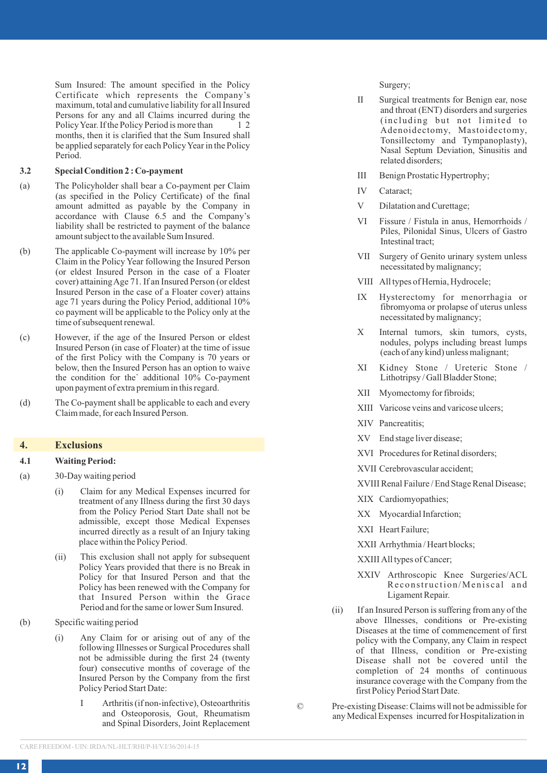Sum Insured: The amount specified in the Policy Certificate which represents the Company's maximum, total and cumulative liability for all Insured Persons for any and all Claims incurred during the<br>Policy Vaar If the Policy Period is more than  $\frac{1}{2}$ Policy Year. If the Policy Period is more than months, then it is clarified that the Sum Insured shall be applied separately for each Policy Year in the Policy Period.

## **3.2 Special Condition 2 : Co-payment**

- (a) The Policyholder shall bear a Co-payment per Claim (as specified in the Policy Certificate) of the final amount admitted as payable by the Company in accordance with Clause 6.5 and the Company's liability shall be restricted to payment of the balance amount subject to the available Sum Insured.
- (b) The applicable Co-payment will increase by 10% per Claim in the Policy Year following the Insured Person (or eldest Insured Person in the case of a Floater cover) attaining Age 71. If an Insured Person (or eldest Insured Person in the case of a Floater cover) attains age 71 years during the Policy Period, additional 10% co payment will be applicable to the Policy only at the time of subsequent renewal.
- (c) However, if the age of the Insured Person or eldest Insured Person (in case of Floater) at the time of issue of the first Policy with the Company is 70 years or below, then the Insured Person has an option to waive the condition for the` additional 10% Co-payment upon payment of extra premium in this regard.
- (d) The Co-payment shall be applicable to each and every Claim made, for each Insured Person.

## **4. Exclusions**

#### **4.1 Waiting Period:**

- (a) 30-Day waiting period
	- (i) Claim for any Medical Expenses incurred for treatment of any Illness during the first 30 days from the Policy Period Start Date shall not be admissible, except those Medical Expenses incurred directly as a result of an Injury taking place within the Policy Period.
	- (ii) This exclusion shall not apply for subsequent Policy Years provided that there is no Break in Policy for that Insured Person and that the Policy has been renewed with the Company for that Insured Person within the Grace Period and for the same or lower Sum Insured.
- (b) Specific waiting period
	- (i) Any Claim for or arising out of any of the following Illnesses or Surgical Procedures shall not be admissible during the first 24 (twenty four) consecutive months of coverage of the Insured Person by the Company from the first Policy Period Start Date:
		- I Arthritis (if non-infective), Osteoarthritis and Osteoporosis, Gout, Rheumatism and Spinal Disorders, Joint Replacement

Surgery;

- II Surgical treatments for Benign ear, nose and throat (ENT) disorders and surgeries (including but not limited to Adenoidectomy, Mastoidectomy, Tonsillectomy and Tympanoplasty), Nasal Septum Deviation, Sinusitis and related disorders;
- III Benign Prostatic Hypertrophy;
- IV Cataract;
- V Dilatation and Curettage;
- VI Fissure / Fistula in anus, Hemorrhoids / Piles, Pilonidal Sinus, Ulcers of Gastro Intestinal tract;
- VII Surgery of Genito urinary system unless necessitated by malignancy;
- VIII All types of Hernia, Hydrocele;
- IX Hysterectomy for menorrhagia or fibromyoma or prolapse of uterus unless necessitated by malignancy;
- X Internal tumors, skin tumors, cysts, nodules, polyps including breast lumps (each of any kind) unless malignant;
- XI Kidney Stone / Ureteric Stone / Lithotripsy / Gall Bladder Stone;
- XII Myomectomy for fibroids;
- XIII Varicose veins and varicose ulcers;
- XIV Pancreatitis;
- XV End stage liver disease;
- XVI Procedures for Retinal disorders;
- XVII Cerebrovascular accident;
- XVIII Renal Failure / End Stage Renal Disease;
- XIX Cardiomyopathies;
- XX Myocardial Infarction;
- XXI Heart Failure;
- XXII Arrhythmia / Heart blocks;
- XXIII All types of Cancer;
- XXIV Arthroscopic Knee Surgeries/ACL Reconstruction/Meniscal and Ligament Repair.
- (ii) If an Insured Person is suffering from any of the above Illnesses, conditions or Pre-existing Diseases at the time of commencement of first policy with the Company, any Claim in respect of that Illness, condition or Pre-existing Disease shall not be covered until the completion of 24 months of continuous insurance coverage with the Company from the first Policy Period Start Date.

© Pre-existing Disease: Claims will not be admissible for any Medical Expenses incurred for Hospitalization in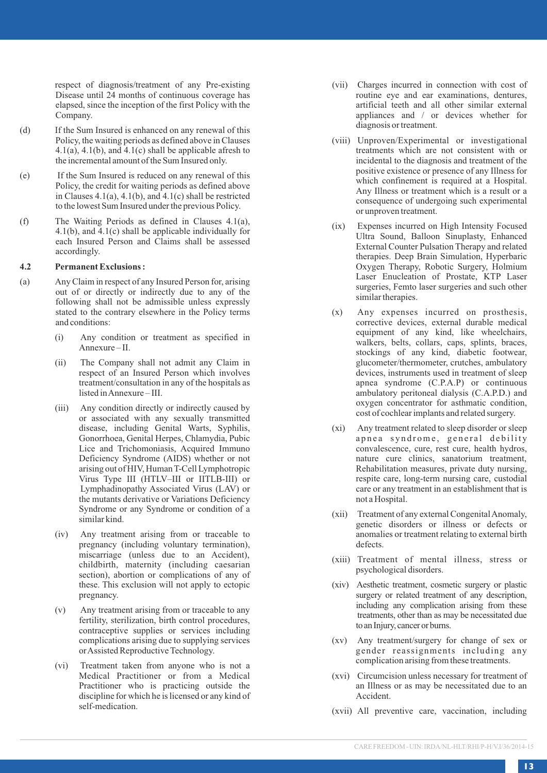respect of diagnosis/treatment of any Pre-existing Disease until 24 months of continuous coverage has elapsed, since the inception of the first Policy with the Company .

- (d) If the Sum Insured is enhanced on any renewal of this Policy, the waiting periods as defined above in Clauses 4.1(a), 4.1(b), and  $\overline{4.1}$ (c) shall be applicable afresh to the incremental amount of the Sum Insured only .
- (e) If the Sum Insured is reduced on any renewal of this Policy, the credit for waiting periods as defined above in Clauses 4.1(a), 4.1(b), and 4.1(c) shall be restricted to the lowest Sum Insured under the previous Policy .
- (f) The Waiting Periods as defined in Clauses 4.1(a), 4.1(b), and 4.1(c) shall be applicable individually for each Insured Person and Claims shall be assessed accordingly .

### **4.2 Permanent Exclusions :**

- (a) Any Claim in respect of any Insured Person for, arising out of or directly or indirectly due to any of the following shall not be admissible unless expressly stated to the contrary elsewhere in the Policy terms and conditions:
	- (i) Any condition or treatment as specified in Annexure – II.
	- (ii) The Company shall not admit any Claim in respect of an Insured Person which involves treatment/consultation in any of the hospitals as listed in Annexure – III.
	- (iii) Any condition directly or indirectly caused by or associated with any sexually transmitted disease, including Genital Warts, Syphilis, Gonorrhoea, Genital Herpes, Chlamydia, Pubic Lice and Trichomoniasis, Acquired Immuno Deficiency Syndrome (AIDS) whether or not arising out of HIV, Human T-Cell Lymphotropic Virus Type III (HTLV–III or IITLB-III) or Lymphadinopathy Associated Virus (LAV) or the mutants derivative or Variations Deficiency Syndrome or any Syndrome or condition of a similar kind.
	- (iv) Any treatment arising from or traceable to pregnancy (including voluntary termination), miscarriage (unless due to an Accident), childbirth, maternity (including caesarian section), abortion or complications of any of these. This exclusion will not apply to ectopic pregnancy .
	- (v) Any treatment arising from or traceable to any fertility, sterilization, birth control procedures, contraceptive supplies or services including complications arising due to supplying services or Assisted Reproductive Technology .
	- (vi) Treatment taken from anyone who is not a Medical Practitioner or from <sup>a</sup> Medical Practitioner who is practicing outside the discipline for which he is licensed or any kind of self-medication.
- (vii) Charges incurred in connection with cost of routine eye and ear examinations, dentures, artificial teeth and all other similar external appliances and / or devices whether for diagnosis or treatment.
- (viii) Unproven/Experimental or investigational treatments which are not consistent with or incidental to the diagnosis and treatment of the positive existence or presence of any Illness for which confinement is required at a Hospital. Any Illness or treatment which is a result or a consequence of undergoing such experimental or unproven treatment.
- (ix) Expenses incurred on High Intensity Focused Ultra Sound, Balloon Sinuplasty, Enhanced External Counter Pulsation Therapy and related therapies. Deep Brain Simulation, Hyperbaric Oxygen Therapy, Robotic Surgery, Holmium Laser Enucleation of Prostate, KTP Laser surgeries, Femto laser surgeries and such other similar therapies.
- (x) Any expenses incurred on prosthesis, corrective devices, external durable medical equipment of any kind, like wheelchairs, walkers, belts, collars, caps, splints, braces, stockings of any kind, diabetic footwear, glucometer/thermometer, crutches, ambulatory devices, instruments used in treatment of sleep apnea syndrome (C.P.A.P) or continuous ambulatory peritoneal dialysis (C.A.P.D.) and oxygen concentrator for asthmatic condition, cost of cochlear implants and related surgery .
- (xi) Any treatment related to sleep disorder or sleep apnea syndrome, general debility convalescence, cure, rest cure, health hydros, nature cure clinics, sanatorium treatment, Rehabilitation measures, private duty nursing, respite care, long-term nursing care, custodial care or any treatment in an establishment that is not a Hospital.
- (xii) Treatment of any external Congenital Anomaly, genetic disorders or illness or defects or anomalies or treatment relating to external birth defects.
- (xiii) Treatment of mental illness, stress or psychological disorders.
- (xiv) Aesthetic treatment, cosmetic surgery or plastic surgery or related treatment of any description, including any complication arising from these treatments, other than as may be necessitated due to an Injury, cancer or burns.
- (xv) Any treatment/surgery for change of sex or gender reassignments including any complication arising from these treatments.
- (xvi) Circumcision unless necessary for treatment of an Illness or as may be necessitated due to an Accident.
- (xvii) All preventive care, vaccination, including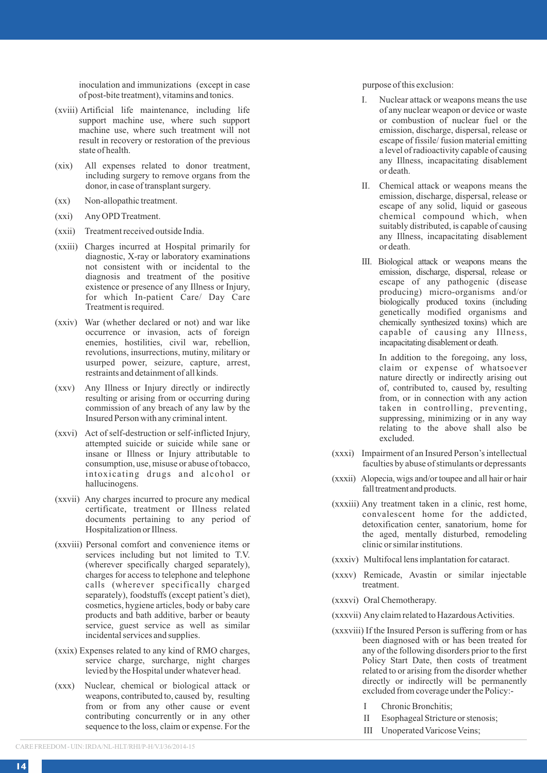inoculation and immunizations (except in case of post-bite treatment), vitamins and tonics.

- (xviii) Artificial life maintenance, including life support machine use, where such support machine use, where such treatment will not result in recovery or restoration of the previous state of health.
- (xix) All expenses related to donor treatment, including surgery to remove organs from the donor, in case of transplant surgery.
- (xx) Non-allopathic treatment.
- (xxi) Any OPD Treatment.
- (xxii) Treatment received outside India.
- (xxiii) Charges incurred at Hospital primarily for diagnostic, X-ray or laboratory examinations not consistent with or incidental to the diagnosis and treatment of the positive existence or presence of any Illness or Injury, for which In-patient Care/ Day Care Treatment is required.
- (xxiv) War (whether declared or not) and war like occurrence or invasion, acts of foreign enemies, hostilities, civil war, rebellion, revolutions, insurrections, mutiny, military or usurped power, seizure, capture, arrest, restraints and detainment of all kinds.
- (xxv) Any Illness or Injury directly or indirectly resulting or arising from or occurring during commission of any breach of any law by the Insured Person with any criminal intent.
- (xxvi) Act of self-destruction or self-inflicted Injury, attempted suicide or suicide while sane or insane or Illness or Injury attributable to consumption, use, misuse or abuse of tobacco, intoxicating drugs and alcohol or hallucinogens.
- (xxvii) Any charges incurred to procure any medical certificate, treatment or Illness related documents pertaining to any period of Hospitalization or Illness.
- (xxviii) Personal comfort and convenience items or services including but not limited to T.V. (wherever specifically charged separately), charges for access to telephone and telephone calls (wherever specifically charged separately), foodstuffs (except patient's diet), cosmetics, hygiene articles, body or baby care products and bath additive, barber or beauty service, guest service as well as similar incidental services and supplies.
- (xxix) Expenses related to any kind of RMO charges, service charge, surcharge, night charges levied by the Hospital under whatever head.
- (xxx) Nuclear, chemical or biological attack or weapons, contributed to, caused by, resulting from or from any other cause or event contributing concurrently or in any other sequence to the loss, claim or expense. For the

purpose of this exclusion:

- I. Nuclear attack or weapons means the use of any nuclear weapon or device or waste or combustion of nuclear fuel or the emission, discharge, dispersal, release or escape of fissile/ fusion material emitting a level of radioactivity capable of causing any Illness, incapacitating disablement or death.
- II. Chemical attack or weapons means the emission, discharge, dispersal, release or escape of any solid, liquid or gaseous chemical compound which, when suitably distributed, is capable of causing any Illness, incapacitating disablement or death.
- III. Biological attack or weapons means the emission, discharge, dispersal, release or escape of any pathogenic (disease producing) micro-organisms and/or biologically produced toxins (including genetically modified organisms and chemically synthesized toxins) which are capable of causing any Illness, incapacitating disablement or death.

In addition to the foregoing, any loss, claim or expense of whatsoever nature directly or indirectly arising out of, contributed to, caused by, resulting from, or in connection with any action taken in controlling, preventing, suppressing, minimizing or in any way relating to the above shall also be excluded.

- (xxxi) Impairment of an Insured Person's intellectual faculties by abuse of stimulants or depressants
- (xxxii) Alopecia, wigs and/or toupee and all hair or hair fall treatment and products.
- (xxxiii) Any treatment taken in a clinic, rest home, convalescent home for the addicted, detoxification center, sanatorium, home for the aged, mentally disturbed, remodeling clinic or similar institutions.
- (xxxiv) Multifocal lens implantation for cataract.
- (xxxv) Remicade, Avastin or similar injectable treatment.
- (xxxvi) Oral Chemotherapy.
- (xxxvii) Any claim related to Hazardous Activities.
- (xxxviii) If the Insured Person is suffering from or has been diagnosed with or has been treated for any of the following disorders prior to the first Policy Start Date, then costs of treatment related to or arising from the disorder whether directly or indirectly will be permanently excluded from coverage under the Policy:-
	- I Chronic Bronchitis;
	- II Esophageal Stricture or stenosis;
	- III Unoperated Varicose Veins;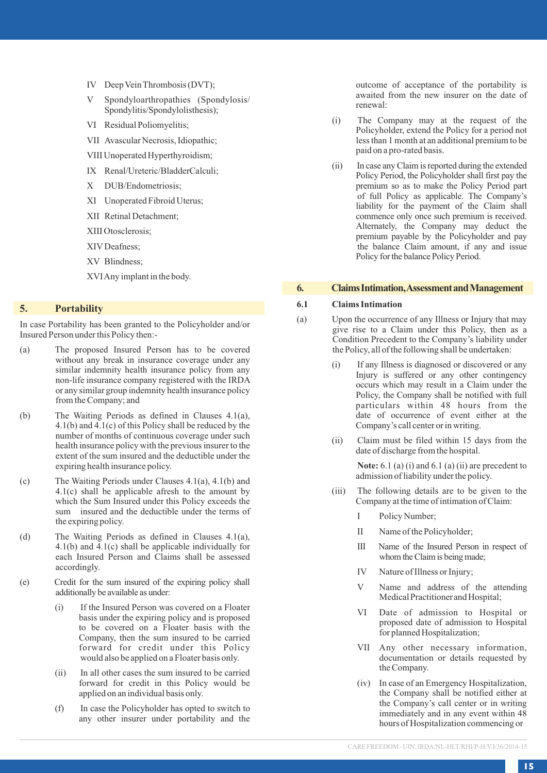- IV Deep Vein Thrombosis (DVT);
- V Spondyloarthropathies (Spondylosis/ Spondylitis/Spondylolisthesis);
- VI Residual Poliomyelitis;
- VII Avascular Necrosis, Idiopathic;
- VIII Unoperated Hyperthyroidism;
- IX Renal/Ureteric/BladderCalculi;
- X DUB/Endometriosis;
- XI Unoperated Fibroid Uterus;
- XII Retinal Detachment;
- XIII Otosclerosis;
- XIV Deafness;
- XV Blindness;

XVI Any implant in the body.

## **5. Portability**

In case Portability has been granted to the Policyholder and/or Insured Person under this Policy then:-

- (a) The proposed Insured Person has to be covered without any break in insurance coverage under any similar indemnity health insurance policy from any non-life insurance company registered with the IRDA or any similar group indemnity health insurance policy from the Company; and
- (b) The Waiting Periods as defined in Clauses 4.1(a), 4.1(b) and 4.1(c) of this Policy shall be reduced by the number of months of continuous coverage under such health insurance policy with the previous insurer to the extent of the sum insured and the deductible under the expiring health insurance policy.
- (c) The Waiting Periods under Clauses 4.1(a), 4.1(b) and 4.1(c) shall be applicable afresh to the amount by which the Sum Insured under this Policy exceeds the sum insured and the deductible under the terms of the expiring policy.
- (d) The Waiting Periods as defined in Clauses 4.1(a), 4.1(b) and  $\overline{4}$ .1(c) shall be applicable individually for each Insured Person and Claims shall be assessed accordingly.
- (e) Credit for the sum insured of the expiring policy shall additionally be available as under:
	- (i) If the Insured Person was covered on a Floater basis under the expiring policy and is proposed to be covered on a Floater basis with the Company, then the sum insured to be carried forward for credit under this Policy would also be applied on a Floater basis only.
	- (ii) In all other cases the sum insured to be carried forward for credit in this Policy would be applied on an individual basis only.
	- (f) In case the Policyholder has opted to switch to any other insurer under portability and the

outcome of acceptance of the portability is awaited from the new insurer on the date of renewal:

- (i) The Company may at the request of the Policyholder, extend the Policy for a period not less than 1 month at an additional premium to be paid on a pro-rated basis.
- (ii) In case any Claim is reported during the extended Policy Period, the Policyholder shall first pay the premium so as to make the Policy Period part of full Policy as applicable. The Company's liability for the payment of the Claim shall commence only once such premium is received. Alternately, the Company may deduct the premium payable by the Policyholder and pay the balance Claim amount, if any and issue Policy for the balance Policy Period.

## **6. Claims Intimation, Assessment and Management**

#### **6.1 Claims Intimation**

- (a) Upon the occurrence of any Illness or Injury that may give rise to a Claim under this Policy, then as a Condition Precedent to the Company's liability under the Policy, all of the following shall be undertaken:
	- (i) If any Illness is diagnosed or discovered or any Injury is suffered or any other contingency occurs which may result in a Claim under the Policy, the Company shall be notified with full particulars within 48 hours from the date of occurrence of event either at the Company's call center or in writing.
	- (ii) Claim must be filed within 15 days from the date of discharge from the hospital.

 **Note:** 6.1 (a) (i) and 6.1 (a) (ii) are precedent to admission of liability under the policy.

- (iii) The following details are to be given to the Company at the time of intimation of Claim:
	- I Policy Number;
	- II Name of the Policyholder;
	- III Name of the Insured Person in respect of whom the Claim is being made;
	- IV Nature of Illness or Injury;
	- V Name and address of the attending Medical Practitioner and Hospital;
	- VI Date of admission to Hospital or proposed date of admission to Hospital for planned Hospitalization;
	- VII Any other necessary information, documentation or details requested by the Company.
	- (iv) In case of an Emergency Hospitalization, the Company shall be notified either at the Company's call center or in writing immediately and in any event within 48 hours of Hospitalization commencing or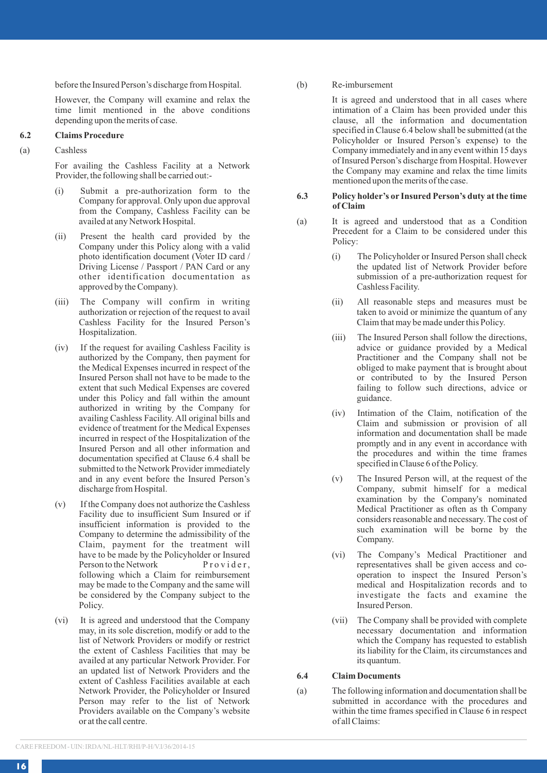before the Insured Person's discharge from Hospital.

However, the Company will examine and relax the time limit mentioned in the above conditions depending upon the merits of case.

### **6.2 Claims Procedure**

## (a) Cashless

For availing the Cashless Facility at a Network Provider, the following shall be carried out:-

- (i) Submit a pre-authorization form to the Company for approval. Only upon due approval from the Company, Cashless Facility can be availed at any Network Hospital.
- (ii) Present the health card provided by the Company under this Policy along with a valid photo identification document (Voter ID card / Driving License / Passport / PAN Card or any other identification documentation as approved by the Company).
- (iii) The Company will confirm in writing authorization or rejection of the request to avail Cashless Facility for the Insured Person's Hospitalization.
- (iv) If the request for availing Cashless Facility is authorized by the Company, then payment for the Medical Expenses incurred in respect of the Insured Person shall not have to be made to the extent that such Medical Expenses are covered under this Policy and fall within the amount authorized in writing by the Company for availing Cashless Facility. All original bills and evidence of treatment for the Medical Expenses incurred in respect of the Hospitalization of the Insured Person and all other information and documentation specified at Clause 6.4 shall be submitted to the Network Provider immediately and in any event before the Insured Person's discharge from Hospital.
- (v) If the Company does not authorize the Cashless Facility due to insufficient Sum Insured or if insufficient information is provided to the Company to determine the admissibility of the Claim, payment for the treatment will have to be made by the Policyholder or Insured<br>Person to the Network Provider. Person to the Network following which a Claim for reimbursement may be made to the Company and the same will be considered by the Company subject to the Policy.
- (vi) It is agreed and understood that the Company may, in its sole discretion, modify or add to the list of Network Providers or modify or restrict the extent of Cashless Facilities that may be availed at any particular Network Provider. For an updated list of Network Providers and the extent of Cashless Facilities available at each Network Provider, the Policyholder or Insured Person may refer to the list of Network Providers available on the Company's website or at the call centre.

(b) Re-imbursement

It is agreed and understood that in all cases where intimation of a Claim has been provided under this clause, all the information and documentation specified in Clause 6.4 below shall be submitted (at the Policyholder or Insured Person's expense) to the Company immediately and in any event within 15 days of Insured Person's discharge from Hospital. However the Company may examine and relax the time limits mentioned upon the merits of the case.

#### **6.3 Policy holder's or Insured Person's duty at the time of Claim**

- (a) It is agreed and understood that as a Condition Precedent for a Claim to be considered under this Policy:
	- (i) The Policyholder or Insured Person shall check the updated list of Network Provider before submission of a pre-authorization request for Cashless Facility.
	- (ii) All reasonable steps and measures must be taken to avoid or minimize the quantum of any Claim that may be made under this Policy.
	- (iii) The Insured Person shall follow the directions, advice or guidance provided by a Medical Practitioner and the Company shall not be obliged to make payment that is brought about or contributed to by the Insured Person failing to follow such directions, advice or guidance.
	- (iv) Intimation of the Claim, notification of the Claim and submission or provision of all information and documentation shall be made promptly and in any event in accordance with the procedures and within the time frames specified in Clause 6 of the Policy.
	- (v) The Insured Person will, at the request of the Company, submit himself for a medical examination by the Company's nominated Medical Practitioner as often as th Company considers reasonable and necessary. The cost of such examination will be borne by the Company.
	- (vi) The Company's Medical Practitioner and representatives shall be given access and cooperation to inspect the Insured Person's medical and Hospitalization records and to investigate the facts and examine the Insured Person.
	- (vii) The Company shall be provided with complete necessary documentation and information which the Company has requested to establish its liability for the Claim, its circumstances and its quantum.

**6.4 Claim Documents**

(a) The following information and documentation shall be submitted in accordance with the procedures and within the time frames specified in Clause 6 in respect of all Claims: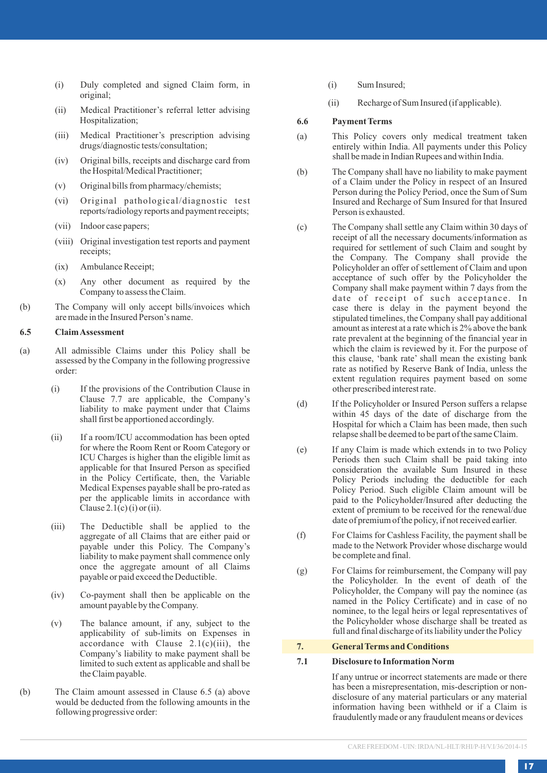- (i) Duly completed and signed Claim form, in original;
- (ii) Medical Practitioner's referral letter advising Hospitalization;
- (iii) Medical Practitioner's prescription advising drugs/diagnostic tests/consultation;
- (iv) Original bills, receipts and discharge card from the Hospital/Medical Practitioner;
- (v) Original bills from pharmacy/chemists;
- (vi) Original pathological/diagnostic test reports/radiology reports and payment receipts;
- (vii) Indoor case papers;
- (viii) Original investigation test reports and payment receipts;
- (ix) Ambulance Receipt;
- (x) Any other document as required by the Company to assess the Claim.
- (b) The Company will only accept bills/invoices which are made in the Insured Person's name.

### **6.5 Claim Assessment**

- (a) All admissible Claims under this Policy shall be assessed by the Company in the following progressive order:
	- (i) If the provisions of the Contribution Clause in Clause 7.7 are applicable, the Company's liability to make payment under that Claims shall first be apportioned accordingly.
	- (ii) If a room/ICU accommodation has been opted for where the Room Rent or Room Category or ICU Charges is higher than the eligible limit as applicable for that Insured Person as specified in the Policy Certificate, then, the Variable Medical Expenses payable shall be pro-rated as per the applicable limits in accordance with Clause  $2.1(c)$  (i) or (ii).
	- (iii) The Deductible shall be applied to the aggregate of all Claims that are either paid or payable under this Policy. The Company's liability to make payment shall commence only once the aggregate amount of all Claims payable or paid exceed the Deductible.
	- (iv) Co-payment shall then be applicable on the amount payable by the Company.
	- (v) The balance amount, if any, subject to the applicability of sub-limits on Expenses in accordance with Clause  $2.1(c)(iii)$ , the Company's liability to make payment shall be limited to such extent as applicable and shall be the Claim payable.
- (b) The Claim amount assessed in Clause 6.5 (a) above would be deducted from the following amounts in the following progressive order:
- (i) Sum Insured;
- (ii) Recharge of Sum Insured (if applicable).

## **6.6 Payment Terms**

- (a) This Policy covers only medical treatment taken entirely within India. All payments under this Policy shall be made in Indian Rupees and within India.
- (b) The Company shall have no liability to make payment of a Claim under the Policy in respect of an Insured Person during the Policy Period, once the Sum of Sum Insured and Recharge of Sum Insured for that Insured Person is exhausted.
- (c) The Company shall settle any Claim within 30 days of receipt of all the necessary documents/information as required for settlement of such Claim and sought by the Company. The Company shall provide the Policyholder an offer of settlement of Claim and upon acceptance of such offer by the Policyholder the Company shall make payment within 7 days from the date of receipt of such acceptance. In case there is delay in the payment beyond the stipulated timelines, the Company shall pay additional amount as interest at a rate which is 2% above the bank rate prevalent at the beginning of the financial year in which the claim is reviewed by it. For the purpose of this clause, 'bank rate' shall mean the existing bank rate as notified by Reserve Bank of India, unless the extent regulation requires payment based on some other prescribed interest rate.
- (d) If the Policyholder or Insured Person suffers a relapse within 45 days of the date of discharge from the Hospital for which a Claim has been made, then such relapse shall be deemed to be part of the same Claim.
- (e) If any Claim is made which extends in to two Policy Periods then such Claim shall be paid taking into consideration the available Sum Insured in these Policy Periods including the deductible for each Policy Period. Such eligible Claim amount will be paid to the Policyholder/Insured after deducting the extent of premium to be received for the renewal/due date of premium of the policy, if not received earlier.
- (f) For Claims for Cashless Facility, the payment shall be made to the Network Provider whose discharge would be complete and final.
- (g) For Claims for reimbursement, the Company will pay the Policyholder. In the event of death of the Policyholder, the Company will pay the nominee (as named in the Policy Certificate) and in case of no nominee, to the legal heirs or legal representatives of the Policyholder whose discharge shall be treated as full and final discharge of its liability under the Policy

## **7. General Terms and Conditions**

## **7.1 Disclosure to Information Norm**

If any untrue or incorrect statements are made or there has been a misrepresentation, mis-description or nondisclosure of any material particulars or any material information having been withheld or if a Claim is fraudulently made or any fraudulent means or devices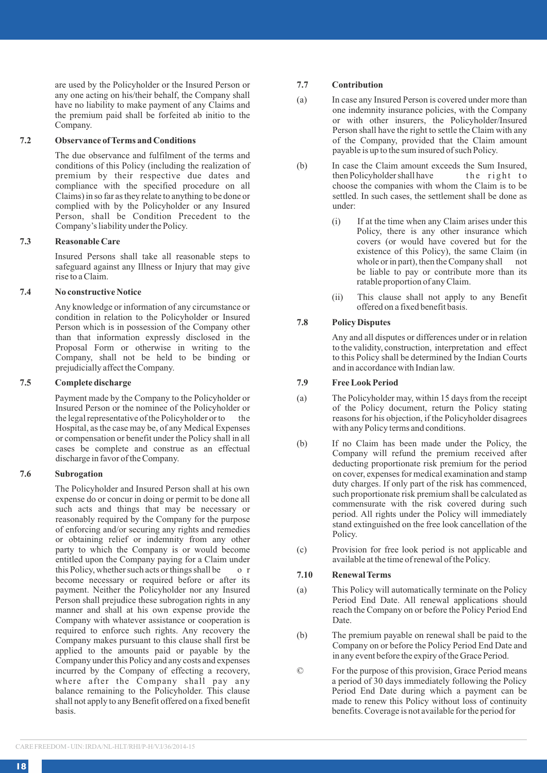are used by the Policyholder or the Insured Person or any one acting on his/their behalf, the Company shall have no liability to make payment of any Claims and the premium paid shall be forfeited ab initio to the Company.

## **7.2 Observance of Terms and Conditions**

The due observance and fulfilment of the terms and conditions of this Policy (including the realization of premium by their respective due dates and compliance with the specified procedure on all Claims) in so far as they relate to anything to be done or complied with by the Policyholder or any Insured Person, shall be Condition Precedent to the Company's liability under the Policy.

## **7.3 Reasonable Care**

Insured Persons shall take all reasonable steps to safeguard against any Illness or Injury that may give rise to a Claim.

## **7.4 No constructive Notice**

Any knowledge or information of any circumstance or condition in relation to the Policyholder or Insured Person which is in possession of the Company other than that information expressly disclosed in the Proposal Form or otherwise in writing to the Company, shall not be held to be binding or prejudicially affect the Company.

## **7.5 Complete discharge**

Payment made by the Company to the Policyholder or Insured Person or the nominee of the Policyholder or the legal representative of the Policyholder or to Hospital, as the case may be, of any Medical Expenses or compensation or benefit under the Policy shall in all cases be complete and construe as an effectual discharge in favor of the Company.

#### **7.6 Subrogation**

The Policyholder and Insured Person shall at his own expense do or concur in doing or permit to be done all such acts and things that may be necessary or reasonably required by the Company for the purpose of enforcing and/or securing any rights and remedies or obtaining relief or indemnity from any other party to which the Company is or would become entitled upon the Company paying for a Claim under this Policy, whether such acts or things shall be o r become necessary or required before or after its payment. Neither the Policyholder nor any Insured Person shall prejudice these subrogation rights in any manner and shall at his own expense provide the Company with whatever assistance or cooperation is required to enforce such rights. Any recovery the Company makes pursuant to this clause shall first be applied to the amounts paid or payable by the Company under this Policy and any costs and expenses incurred by the Company of effecting a recovery, where after the Company shall pay any balance remaining to the Policyholder. This clause shall not apply to any Benefit offered on a fixed benefit basis.

#### **7.7 Contribution**

- (a) In case any Insured Person is covered under more than one indemnity insurance policies, with the Company or with other insurers, the Policyholder/Insured Person shall have the right to settle the Claim with any of the Company, provided that the Claim amount payable is up to the sum insured of such Policy.
- (b) In case the Claim amount exceeds the Sum Insured,<br>then Policyholder shall have the right to then Policyholder shall have choose the companies with whom the Claim is to be settled. In such cases, the settlement shall be done as under:
	- (i) If at the time when any Claim arises under this Policy, there is any other insurance which covers (or would have covered but for the existence of this Policy), the same Claim (in whole or in part), then the Company shall not be liable to pay or contribute more than its ratable proportion of any Claim.
	- (ii) This clause shall not apply to any Benefit offered on a fixed benefit basis.

## **7.8 Policy Disputes**

Any and all disputes or differences under or in relation to the validity, construction, interpretation and effect to this Policy shall be determined by the Indian Courts and in accordance with Indian law.

## **7.9 Free Look Period**

- (a) The Policyholder may, within 15 days from the receipt of the Policy document, return the Policy stating reasons for his objection, if the Policyholder disagrees with any Policy terms and conditions.
- (b) If no Claim has been made under the Policy, the Company will refund the premium received after deducting proportionate risk premium for the period on cover, expenses for medical examination and stamp duty charges. If only part of the risk has commenced, such proportionate risk premium shall be calculated as commensurate with the risk covered during such period. All rights under the Policy will immediately stand extinguished on the free look cancellation of the Policy.
- (c) Provision for free look period is not applicable and available at the time of renewal of the Policy.

#### **7.10 Renewal Terms**

- (a) This Policy will automatically terminate on the Policy Period End Date. All renewal applications should reach the Company on or before the Policy Period End Date.
- (b) The premium payable on renewal shall be paid to the Company on or before the Policy Period End Date and in any event before the expiry of the Grace Period.
- © For the purpose of this provision, Grace Period means a period of 30 days immediately following the Policy Period End Date during which a payment can be made to renew this Policy without loss of continuity benefits. Coverage is not available for the period for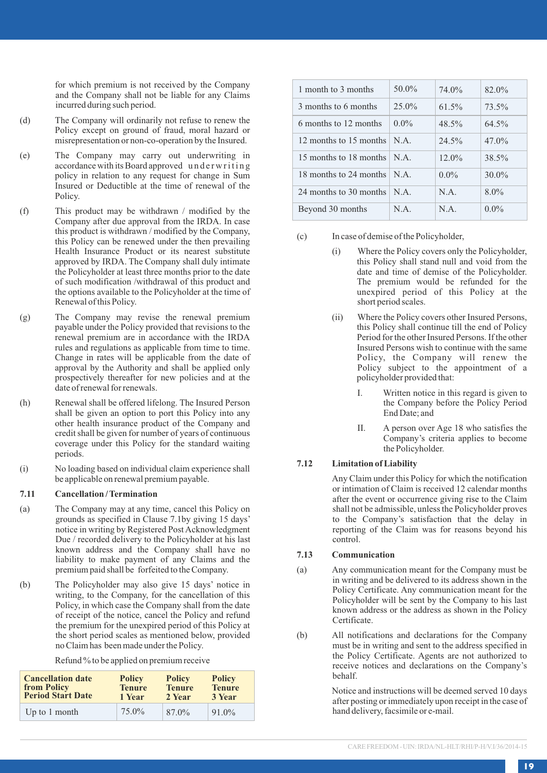for which premium is not received by the Company and the Company shall not be liable for any Claims incurred during such period.

- (d) The Company will ordinarily not refuse to renew the Policy except on ground of fraud, moral hazard or misrepresentation or non-co-operation by the Insured.
- (e) The Company may carry out underwriting in accordance with its Board approved underwriting policy in relation to any request for change in Sum Insured or Deductible at the time of renewal of the Policy.
- (f) This product may be withdrawn / modified by the Company after due approval from the IRDA. In case this product is withdrawn / modified by the Company, this Policy can be renewed under the then prevailing Health Insurance Product or its nearest substitute approved by IRDA. The Company shall duly intimate the Policyholder at least three months prior to the date of such modification /withdrawal of this product and the options available to the Policyholder at the time of Renewal of this Policy.
- (g) The Company may revise the renewal premium payable under the Policy provided that revisions to the renewal premium are in accordance with the IRDA rules and regulations as applicable from time to time. Change in rates will be applicable from the date of approval by the Authority and shall be applied only prospectively thereafter for new policies and at the date of renewal for renewals.
- (h) Renewal shall be offered lifelong. The Insured Person shall be given an option to port this Policy into any other health insurance product of the Company and credit shall be given for number of years of continuous coverage under this Policy for the standard waiting periods.
- (i) No loading based on individual claim experience shall be applicable on renewal premium payable.

#### **7.11 Cancellation / Termination**

- (a) The Company may at any time, cancel this Policy on grounds as specified in Clause 7.1by giving 15 days' notice in writing by Registered Post Acknowledgment Due / recorded delivery to the Policyholder at his last known address and the Company shall have no liability to make payment of any Claims and the premium paid shall be forfeited to the Company.
- (b) The Policyholder may also give 15 days' notice in writing, to the Company, for the cancellation of this Policy, in which case the Company shall from the date of receipt of the notice, cancel the Policy and refund the premium for the unexpired period of this Policy at the short period scales as mentioned below, provided no Claim has been made under the Policy.

Refund % to be applied on premium receive

| <b>Cancellation date</b> | <b>Policy</b> | <b>Policy</b> | <b>Policy</b> |
|--------------------------|---------------|---------------|---------------|
| from Policy              | <b>Tenure</b> | <b>Tenure</b> | <b>Tenure</b> |
| <b>Period Start Date</b> | 1 Year        | 2 Year        | 3 Year        |
| Up to 1 month            | 75.0%         | 87.0%         | 91.0%         |

| 1 month to 3 months                 | $50.0\%$ | 74.0%   | 82.0%    |
|-------------------------------------|----------|---------|----------|
| 3 months to 6 months                | $25.0\%$ | 61.5%   | 73.5%    |
| 6 months to 12 months               | $0.0\%$  | 48.5%   | 64.5%    |
| 12 months to 15 months   N.A.       |          | 24.5%   | $47.0\%$ |
| 15 months to 18 months $\vert$ N.A. |          | 12.0%   | 38.5%    |
| 18 months to 24 months $\vert$ N.A. |          | $0.0\%$ | $30.0\%$ |
| 24 months to 30 months $\vert$ N.A. |          | N A     | 8.0%     |
| Beyond 30 months                    | N A      | N.A.    | $0.0\%$  |

(c) In case of demise of the Policyholder,

- (i) Where the Policy covers only the Policyholder, this Policy shall stand null and void from the date and time of demise of the Policyholder. The premium would be refunded for the unexpired period of this Policy at the short period scales.
- (ii) Where the Policy covers other Insured Persons, this Policy shall continue till the end of Policy Period for the other Insured Persons. If the other Insured Persons wish to continue with the same Policy, the Company will renew the Policy subject to the appointment of a policyholder provided that:
	- I. Written notice in this regard is given to the Company before the Policy Period End Date; and
	- II. A person over Age 18 who satisfies the Company's criteria applies to become the Policyholder.

## **7.12 Limitation of Liability**

Any Claim under this Policy for which the notification or intimation of Claim is received 12 calendar months after the event or occurrence giving rise to the Claim shall not be admissible, unless the Policyholder proves to the Company's satisfaction that the delay in reporting of the Claim was for reasons beyond his control.

## **7.13 Communication**

- (a) Any communication meant for the Company must be in writing and be delivered to its address shown in the Policy Certificate. Any communication meant for the Policyholder will be sent by the Company to his last known address or the address as shown in the Policy Certificate.
- (b) All notifications and declarations for the Company must be in writing and sent to the address specified in the Policy Certificate. Agents are not authorized to receive notices and declarations on the Company's behalf.

Notice and instructions will be deemed served 10 days after posting or immediately upon receipt in the case of hand delivery, facsimile or e-mail.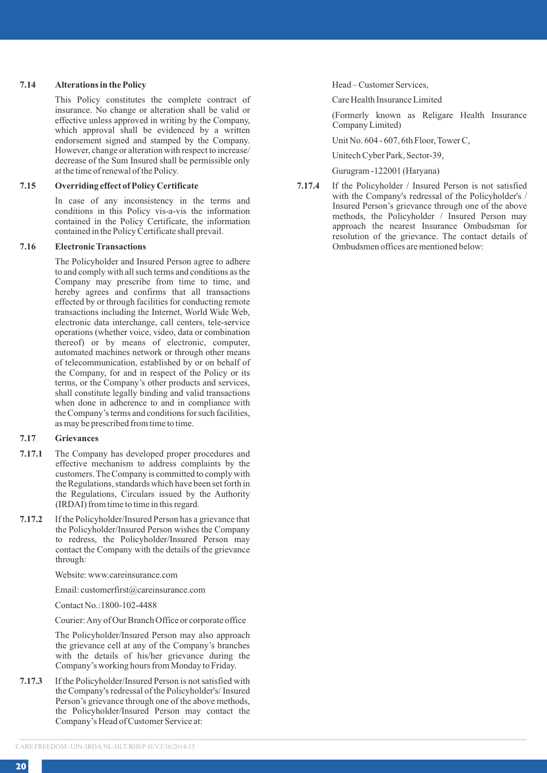#### **7.14 Alterations in the Policy**

This Policy constitutes the complete contract of insurance. No change or alteration shall be valid or effective unless approved in writing by the Company, which approval shall be evidenced by a written endorsement signed and stamped by the Company. However, change or alteration with respect to increase/ decrease of the Sum Insured shall be permissible only at the time of renewal of the Policy.

## **7.15 Overriding effect of Policy Certificate**

In case of any inconsistency in the terms and conditions in this Policy vis-a-vis the information contained in the Policy Certificate, the information contained in the Policy Certificate shall prevail.

## **7.16 Electronic Transactions**

The Policyholder and Insured Person agree to adhere to and comply with all such terms and conditions as the Company may prescribe from time to time, and hereby agrees and confirms that all transactions effected by or through facilities for conducting remote transactions including the Internet, World Wide Web, electronic data interchange, call centers, tele-service operations (whether voice, video, data or combination thereof) or by means of electronic, computer, automated machines network or through other means of telecommunication, established by or on behalf of the Company, for and in respect of the Policy or its terms, or the Company's other products and services, shall constitute legally binding and valid transactions when done in adherence to and in compliance with the Company's terms and conditions for such facilities, as may be prescribed from time to time.

## **7.17 Grievances**

- **7.17.1** The Company has developed proper procedures and effective mechanism to address complaints by the customers. The Company is committed to comply with the Regulations, standards which have been set forth in the Regulations, Circulars issued by the Authority (IRDAI) from time to time in this regard.
- **7.17.2** If the Policyholder/Insured Person has a grievance that the Policyholder/Insured Person wishes the Company to redress, the Policyholder/Insured Person may contact the Company with the details of the grievance through:

Website: www.careinsurance.com

Email: customerfirst@careinsurance.com

Contact No.:1800-102-4488

Courier: Any of Our Branch Office or corporate office

The Policyholder/Insured Person may also approach the grievance cell at any of the Company's branches with the details of his/her grievance during the Company's working hours from Monday to Friday.

**7.17.3** If the Policyholder/Insured Person is not satisfied with the Company's redressal of the Policyholder's/ Insured Person's grievance through one of the above methods, the Policyholder/Insured Person may contact the Company's Head of Customer Service at:

Head – Customer Services,

Care Health Insurance Limited

(Formerly known as Religare Health Insurance Company Limited)

Unit No. 604 - 607, 6th Floor, Tower C,

Unitech Cyber Park, Sector-39,

Gurugram -122001 (Haryana)

**7.17.4** If the Policyholder / Insured Person is not satisfied with the Company's redressal of the Policyholder's / Insured Person's grievance through one of the above methods, the Policyholder / Insured Person may approach the nearest Insurance Ombudsman for resolution of the grievance. The contact details of Ombudsmen offices are mentioned below: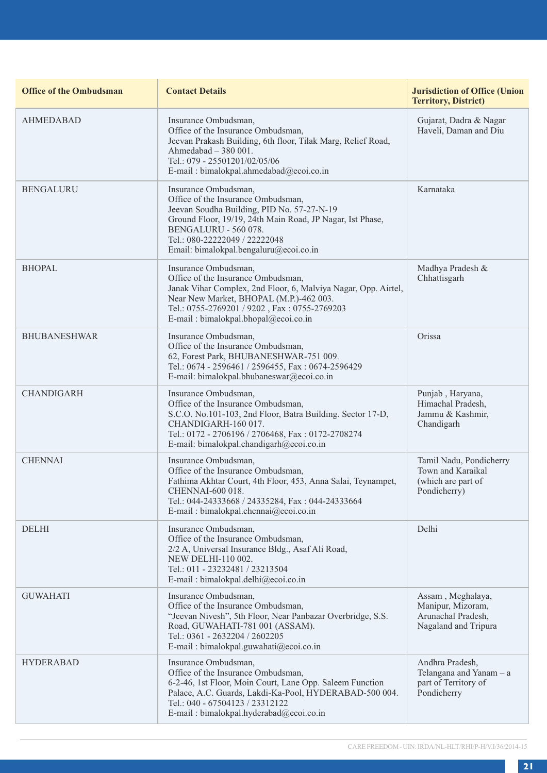| <b>Office of the Ombudsman</b> | <b>Contact Details</b>                                                                                                                                                                                                                                                   | <b>Jurisdiction of Office (Union</b><br><b>Territory, District)</b>                  |
|--------------------------------|--------------------------------------------------------------------------------------------------------------------------------------------------------------------------------------------------------------------------------------------------------------------------|--------------------------------------------------------------------------------------|
| <b>AHMEDABAD</b>               | Insurance Ombudsman,<br>Office of the Insurance Ombudsman,<br>Jeevan Prakash Building, 6th floor, Tilak Marg, Relief Road,<br>Ahmedabad - 380 001.<br>Tel.: 079 - 25501201/02/05/06<br>E-mail: bimalokpal.ahmedabad@ecoi.co.in                                           | Gujarat, Dadra & Nagar<br>Haveli, Daman and Diu                                      |
| <b>BENGALURU</b>               | Insurance Ombudsman,<br>Office of the Insurance Ombudsman,<br>Jeevan Soudha Building, PID No. 57-27-N-19<br>Ground Floor, 19/19, 24th Main Road, JP Nagar, Ist Phase,<br>BENGALURU - 560 078.<br>Tel.: 080-22222049 / 22222048<br>Email: bimalokpal.bengaluru@ecoi.co.in | Karnataka                                                                            |
| <b>BHOPAL</b>                  | Insurance Ombudsman,<br>Office of the Insurance Ombudsman,<br>Janak Vihar Complex, 2nd Floor, 6, Malviya Nagar, Opp. Airtel,<br>Near New Market, BHOPAL (M.P.)-462 003.<br>Tel.: 0755-2769201 / 9202, Fax: 0755-2769203<br>E-mail: bimalokpal.bhopal@ecoi.co.in          | Madhya Pradesh &<br>Chhattisgarh                                                     |
| <b>BHUBANESHWAR</b>            | Insurance Ombudsman.<br>Office of the Insurance Ombudsman,<br>62, Forest Park, BHUBANESHWAR-751 009.<br>Tel.: 0674 - 2596461 / 2596455, Fax: 0674-2596429<br>E-mail: bimalokpal.bhubaneswar@ecoi.co.in                                                                   | Orissa                                                                               |
| <b>CHANDIGARH</b>              | Insurance Ombudsman,<br>Office of the Insurance Ombudsman,<br>S.C.O. No.101-103, 2nd Floor, Batra Building. Sector 17-D,<br>CHANDIGARH-160 017.<br>Tel.: 0172 - 2706196 / 2706468, Fax: 0172-2708274<br>E-mail: bimalokpal.chandigarh@ecoi.co.in                         | Punjab, Haryana,<br>Himachal Pradesh.<br>Jammu & Kashmir,<br>Chandigarh              |
| <b>CHENNAI</b>                 | Insurance Ombudsman,<br>Office of the Insurance Ombudsman,<br>Fathima Akhtar Court, 4th Floor, 453, Anna Salai, Teynampet,<br>CHENNAI-600 018.<br>Tel.: 044-24333668 / 24335284, Fax: 044-24333664<br>E-mail : bimalokpal.chennai@ecoi.co.in                             | Tamil Nadu, Pondicherry<br>Town and Karaikal<br>(which are part of<br>Pondicherry)   |
| <b>DELHI</b>                   | Insurance Ombudsman,<br>Office of the Insurance Ombudsman,<br>2/2 A, Universal Insurance Bldg., Asaf Ali Road,<br>NEW DELHI-110 002.<br>Tel.: 011 - 23232481 / 23213504<br>E-mail: bimalokpal.delhi@ecoi.co.in                                                           | Delhi                                                                                |
| <b>GUWAHATI</b>                | Insurance Ombudsman,<br>Office of the Insurance Ombudsman,<br>"Jeevan Nivesh", 5th Floor, Near Panbazar Overbridge, S.S.<br>Road, GUWAHATI-781 001 (ASSAM).<br>Tel.: 0361 - 2632204 / 2602205<br>E-mail: bimalokpal.guwahati@ecoi.co.in                                  | Assam, Meghalaya,<br>Manipur, Mizoram,<br>Arunachal Pradesh,<br>Nagaland and Tripura |
| <b>HYDERABAD</b>               | Insurance Ombudsman.<br>Office of the Insurance Ombudsman,<br>6-2-46, 1st Floor, Moin Court, Lane Opp. Saleem Function<br>Palace, A.C. Guards, Lakdi-Ka-Pool, HYDERABAD-500 004.<br>Tel.: 040 - 67504123 / 23312122<br>E-mail: bimalokpal.hyderabad@ecoi.co.in           | Andhra Pradesh.<br>Telangana and Yanam - a<br>part of Territory of<br>Pondicherry    |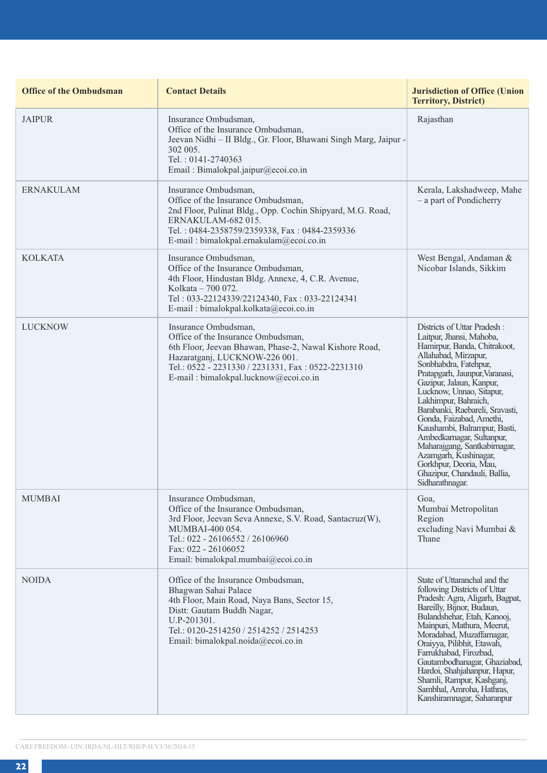| <b>Office of the Ombudsman</b> | <b>Contact Details</b>                                                                                                                                                                                                                              | <b>Jurisdiction of Office (Union</b><br><b>Territory, District)</b>                                                                                                                                                                                                                                                                                                                                                                                                                                                         |
|--------------------------------|-----------------------------------------------------------------------------------------------------------------------------------------------------------------------------------------------------------------------------------------------------|-----------------------------------------------------------------------------------------------------------------------------------------------------------------------------------------------------------------------------------------------------------------------------------------------------------------------------------------------------------------------------------------------------------------------------------------------------------------------------------------------------------------------------|
| <b>JAIPUR</b>                  | Insurance Ombudsman,<br>Office of the Insurance Ombudsman,<br>Jeevan Nidhi - II Bldg., Gr. Floor, Bhawani Singh Marg, Jaipur -<br>302 005.<br>Tel.: 0141-2740363<br>Email: Bimalokpal.jaipur@ecoi.co.in                                             | Rajasthan                                                                                                                                                                                                                                                                                                                                                                                                                                                                                                                   |
| <b>ERNAKULAM</b>               | Insurance Ombudsman,<br>Office of the Insurance Ombudsman.<br>2nd Floor, Pulinat Bldg., Opp. Cochin Shipyard, M.G. Road,<br>ERNAKULAM-682 015.<br>Tel.: 0484-2358759/2359338, Fax: 0484-2359336<br>E-mail: bimalokpal.ernakulam@ecoi.co.in          | Kerala, Lakshadweep, Mahe<br>$-$ a part of Pondicherry                                                                                                                                                                                                                                                                                                                                                                                                                                                                      |
| <b>KOLKATA</b>                 | Insurance Ombudsman,<br>Office of the Insurance Ombudsman,<br>4th Floor, Hindustan Bldg. Annexe, 4, C.R. Avenue,<br>Kolkata - 700 072.<br>Tel: 033-22124339/22124340, Fax: 033-22124341<br>E-mail: bimalokpal.kolkata@ecoi.co.in                    | West Bengal, Andaman &<br>Nicobar Islands, Sikkim                                                                                                                                                                                                                                                                                                                                                                                                                                                                           |
| <b>LUCKNOW</b>                 | Insurance Ombudsman,<br>Office of the Insurance Ombudsman,<br>6th Floor, Jeevan Bhawan, Phase-2, Nawal Kishore Road,<br>Hazaratganj, LUCKNOW-226 001.<br>Tel.: 0522 - 2231330 / 2231331, Fax: 0522-2231310<br>E-mail: bimalokpal.lucknow@ecoi.co.in | Districts of Uttar Pradesh:<br>Laitpur, Jhansi, Mahoba,<br>Hamirpur, Banda, Chitrakoot,<br>Allahabad, Mirzapur,<br>Sonbhabdra, Fatehpur,<br>Pratapgarh, Jaunpur, Varanasi,<br>Gazipur, Jalaun, Kanpur,<br>Lucknow, Unnao, Sitapur,<br>Lakhimpur, Bahraich,<br>Barabanki, Raebareli, Sravasti,<br>Gonda, Faizabad, Amethi,<br>Kaushambi, Balrampur, Basti,<br>Ambedkamagar, Sultanpur,<br>Maharajgang, Santkabirnagar,<br>Azamgarh, Kushinagar,<br>Gorkhpur, Deoria, Mau,<br>Ghazipur, Chandauli, Ballia,<br>Sidharathnagar. |
| <b>MUMBAI</b>                  | Insurance Ombudsman,<br>Office of the Insurance Ombudsman,<br>3rd Floor, Jeevan Seva Annexe, S.V. Road, Santacruz(W),<br>MUMBAI-400 054.<br>Tel.: 022 - 26106552 / 26106960<br>Fax: 022 - 26106052<br>Email: bimalokpal.mumbai@ecoi.co.in           | Goa,<br>Mumbai Metropolitan<br>Region<br>excluding Navi Mumbai &<br>Thane                                                                                                                                                                                                                                                                                                                                                                                                                                                   |
| <b>NOIDA</b>                   | Office of the Insurance Ombudsman,<br>Bhagwan Sahai Palace<br>4th Floor, Main Road, Naya Bans, Sector 15,<br>Distt: Gautam Buddh Nagar,<br>U.P-201301.<br>Tel.: 0120-2514250 / 2514252 / 2514253<br>Email: bimalokpal.noida@ecoi.co.in              | State of Uttaranchal and the<br>following Districts of Uttar<br>Pradesh: Agra, Aligarh, Bagpat,<br>Bareilly, Bijnor, Budaun,<br>Bulandshehar, Etah, Kanooj,<br>Mainpuri, Mathura, Meerut,<br>Moradabad, Muzaffarnagar,<br>Oraivva, Pilibhit, Etawah.<br>Farrukhabad, Firozbad,<br>Gautambodhanagar, Ghaziabad,<br>Hardoi, Shahjahanpur, Hapur,<br>Shamli, Rampur, Kashganj,<br>Sambhal, Amroha, Hathras,<br>Kanshiramnagar, Saharanpur                                                                                      |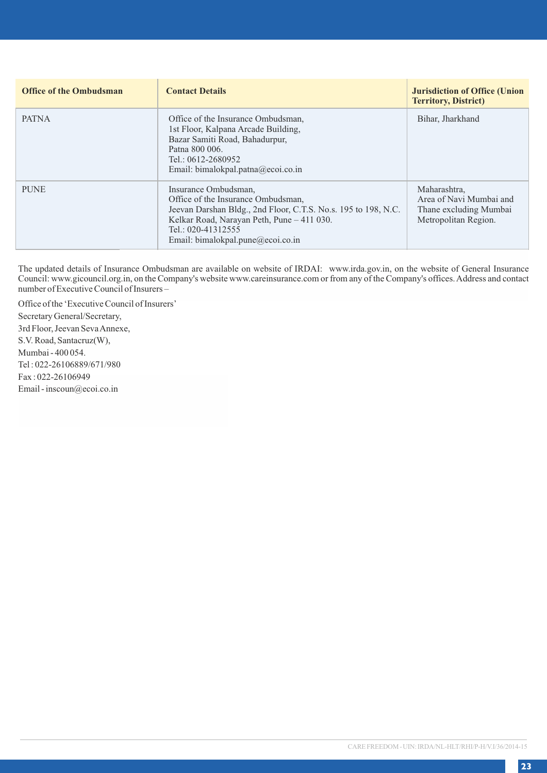| <b>Office of the Ombudsman</b> | <b>Contact Details</b>                                                                                                                                                                                                                | <b>Jurisdiction of Office (Union</b><br><b>Territory, District)</b>                       |
|--------------------------------|---------------------------------------------------------------------------------------------------------------------------------------------------------------------------------------------------------------------------------------|-------------------------------------------------------------------------------------------|
| <b>PATNA</b>                   | Office of the Insurance Ombudsman.<br>1st Floor, Kalpana Arcade Building,<br>Bazar Samiti Road, Bahadurpur,<br>Patna 800 006.<br>Tel.: $0612 - 2680952$<br>Email: bimalokpal.patna@ecoi.co.in                                         | Bihar, Jharkhand                                                                          |
| <b>PUNE</b>                    | Insurance Ombudsman,<br>Office of the Insurance Ombudsman.<br>Jeevan Darshan Bldg., 2nd Floor, C.T.S. No.s. 195 to 198, N.C.<br>Kelkar Road, Narayan Peth, Pune - 411 030.<br>Tel.: 020-41312555<br>Email: bimalokpal.pune@ecoi.co.in | Maharashtra,<br>Area of Navi Mumbai and<br>Thane excluding Mumbai<br>Metropolitan Region. |

The updated details of Insurance Ombudsman are available on website of IRDAI: www.irda.gov.in, on the website of General Insurance Council: www.gicouncil.org.in, on the Company's website www.careinsurance.com or from any of the Company's offices. Address and contact number of Executive Council of Insurers –

Office of the 'Executive Council of Insurers' Secretary General/Secretary, 3rd Floor, Jeevan Seva Annexe, S.V. Road, Santacruz(W), Mumbai - 400 054. Tel : 022-26106889/671/980 Fax : 022-26106949 Email - inscoun@ecoi.co.in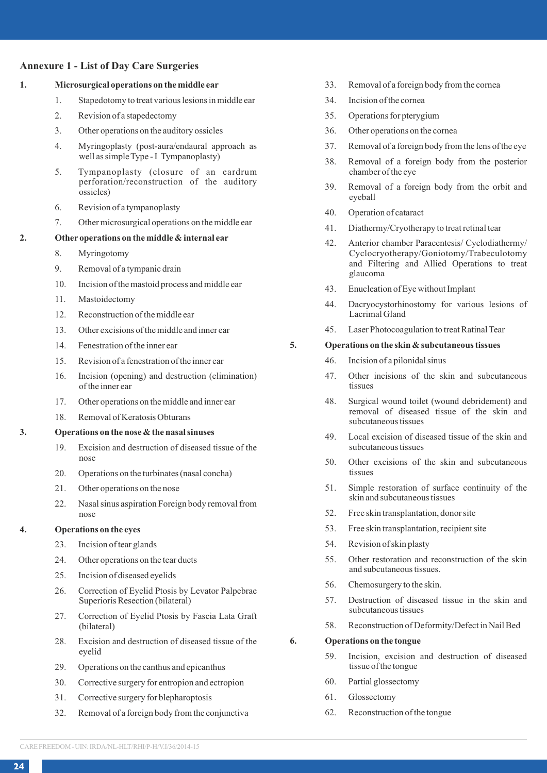## **Annexure 1 - List of Day Care Surgeries**

## **1. Microsurgical operations on the middle ear**

- 1. Stapedotomy to treat various lesions in middle ear
- 2. Revision of a stapedectomy
- 3. Other operations on the auditory ossicles
- 4. Myringoplasty (post-aura/endaural approach as well as simple Type - I Tympanoplasty)
- 5. Tympanoplasty (closure of an eardrum perforation/reconstruction of the auditory ossicles)
- 6. Revision of a tympanoplasty
- 7. Other microsurgical operations on the middle ear

## **2. Other operations on the middle & internal ear**

- 8. Myringotomy
- 9. Removal of a tympanic drain
- 10. Incision of the mastoid process and middle ear
- 11. Mastoidectomy
- 12. Reconstruction of the middle ear
- 13. Other excisions of the middle and inner ear
- 14. Fenestration of the inner ear
- 15. Revision of a fenestration of the inner ear
- 16. Incision (opening) and destruction (elimination) of the inner ear
- 17. Other operations on the middle and inner ear
- 18. Removal of Keratosis Obturans

## **3. Operations on the nose & the nasal sinuses**

- 19. Excision and destruction of diseased tissue of the nose
- 20. Operations on the turbinates (nasal concha)
- 21. Other operations on the nose
- 22. Nasal sinus aspiration Foreign body removal from nose

## **4. Operations on the eyes**

- 23. Incision of tear glands
- 24. Other operations on the tear ducts
- 25. Incision of diseased eyelids
- 26. Correction of Eyelid Ptosis by Levator Palpebrae Superioris Resection (bilateral)
- 27. Correction of Eyelid Ptosis by Fascia Lata Graft (bilateral)
- 28. Excision and destruction of diseased tissue of the eyelid
- 29. Operations on the canthus and epicanthus
- 30. Corrective surgery for entropion and ectropion
- 31. Corrective surgery for blepharoptosis
- 32. Removal of a foreign body from the conjunctiva
- 33. Removal of a foreign body from the cornea
- 34. Incision of the cornea
- 35. Operations for pterygium
- 36. Other operations on the cornea
- 37. Removal of a foreign body from the lens of the eye
- 38. Removal of a foreign body from the posterior chamber of the eye
- 39. Removal of a foreign body from the orbit and eyeball
- 40. Operation of cataract
- 41. Diathermy/Cryotherapy to treat retinal tear
- 42. Anterior chamber Paracentesis/ Cyclodiathermy/ Cyclocryotherapy/Goniotomy/Trabeculotomy and Filtering and Allied Operations to treat glaucoma
- 43. Enucleation of Eye without Implant
- 44. Dacryocystorhinostomy for various lesions of Lacrimal Gland
- 45. Laser Photocoagulation to treat Ratinal Tear

## **5. Operations on the skin & subcutaneous tissues**

- 46. Incision of a pilonidal sinus
- 47. Other incisions of the skin and subcutaneous tissues
- 48. Surgical wound toilet (wound debridement) and removal of diseased tissue of the skin and subcutaneous tissues
- 49. Local excision of diseased tissue of the skin and subcutaneous tissues
- 50. Other excisions of the skin and subcutaneous tissues
- 51. Simple restoration of surface continuity of the skin and subcutaneous tissues
- 52. Free skin transplantation, donor site
- 53. Free skin transplantation, recipient site
- 54. Revision of skin plasty
- 55. Other restoration and reconstruction of the skin and subcutaneous tissues.
- 56. Chemosurgery to the skin.
- 57. Destruction of diseased tissue in the skin and subcutaneous tissues
- 58. Reconstruction of Deformity/Defect in Nail Bed

**6. Operations on the tongue**

- 59. Incision, excision and destruction of diseased tissue of the tongue
- 60. Partial glossectomy
- 61. Glossectomy
- 62. Reconstruction of the tongue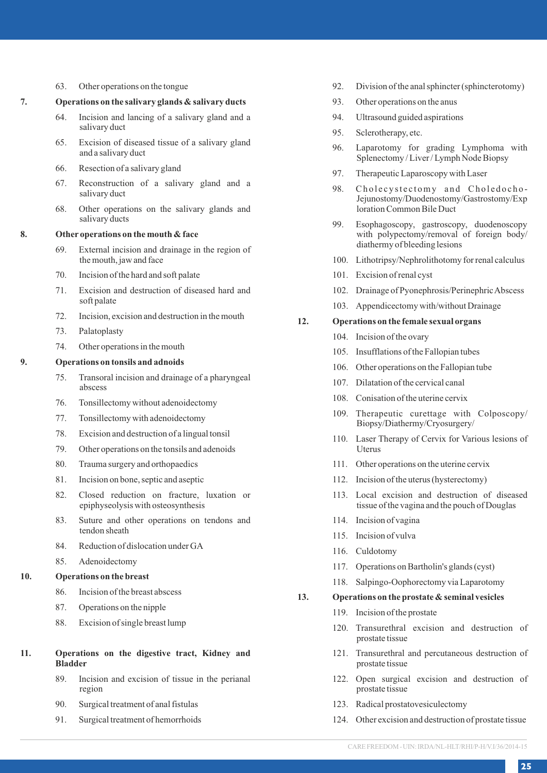#### 63. Other operations on the tongue

## **7. Operations on the salivary glands & salivary ducts**

- 64. Incision and lancing of a salivary gland and a salivary duct
- 65. Excision of diseased tissue of a salivary gland and a salivary duct
- 66. Resection of a salivary gland
- 67. Reconstruction of a salivary gland and a salivary duct
- 68. Other operations on the salivary glands and salivary ducts

## **8. Other operations on the mouth & face**

- 69. External incision and drainage in the region of the mouth, jaw and face
- 70. Incision of the hard and soft palate
- 71. Excision and destruction of diseased hard and soft palate
- 72. Incision, excision and destruction in the mouth
- 73. Palatoplasty
- 74. Other operations in the mouth

#### **9. Operations on tonsils and adnoids**

- 75. Transoral incision and drainage of a pharyngeal abscess
- 76. Tonsillectomy without adenoidectomy
- 77. Tonsillectomy with adenoidectomy
- 78. Excision and destruction of a lingual tonsil
- 79. Other operations on the tonsils and adenoids
- 80. Trauma surgery and orthopaedics
- 81. Incision on bone, septic and aseptic
- 82. Closed reduction on fracture, luxation or epiphyseolysis with osteosynthesis
- 83. Suture and other operations on tendons and tendon sheath
- 84. Reduction of dislocation under GA
- 85. Adenoidectomy

## **10. Operations on the breast**

- 86. Incision of the breast abscess
- 87. Operations on the nipple
- 88. Excision of single breast lump
- **11. Operations on the digestive tract, Kidney and Bladder**
	- 89. Incision and excision of tissue in the perianal region
	- 90. Surgical treatment of anal fistulas
	- 91. Surgical treatment of hemorrhoids
- 92. Division of the anal sphincter (sphincterotomy)
- 93. Other operations on the anus
- 94. Ultrasound guided aspirations
- 95. Sclerotherapy, etc.
- 96. Laparotomy for grading Lymphoma with Splenectomy / Liver / Lymph Node Biopsy
- 97. Therapeutic Laparoscopy with Laser
- 98. Cholecystectomy and Choledocho-Jejunostomy/Duodenostomy/Gastrostomy/Exp loration Common Bile Duct
- 99. Esophagoscopy, gastroscopy, duodenoscopy with polypectomy/removal of foreign body/ diathermy of bleeding lesions
- 100. Lithotripsy/Nephrolithotomy for renal calculus
- 101. Excision of renal cyst
- 102. Drainage of Pyonephrosis/Perinephric Abscess
- 103. Appendicectomy with/without Drainage

## **12. Operations on the female sexual organs**

- 104. Incision of the ovary
- 105. Insufflations of the Fallopian tubes
- 106. Other operations on the Fallopian tube
- 107. Dilatation of the cervical canal
- 108. Conisation of the uterine cervix
- 109. Therapeutic curettage with Colposcopy/ Biopsy/Diathermy/Cryosurgery/
- 110. Laser Therapy of Cervix for Various lesions of Uterus
- 111. Other operations on the uterine cervix
- 112. Incision of the uterus (hysterectomy)
- 113. Local excision and destruction of diseased tissue of the vagina and the pouch of Douglas
- 114. Incision of vagina
- 115. Incision of vulva
- 116. Culdotomy
- 117. Operations on Bartholin's glands (cyst)
- 118. Salpingo-Oophorectomy via Laparotomy

#### **13. Operations on the prostate & seminal vesicles**

- 119. Incision of the prostate
- 120. Transurethral excision and destruction of prostate tissue
- 121. Transurethral and percutaneous destruction of prostate tissue
- 122. Open surgical excision and destruction of prostate tissue
- 123. Radical prostatovesiculectomy
- 124. Other excision and destruction of prostate tissue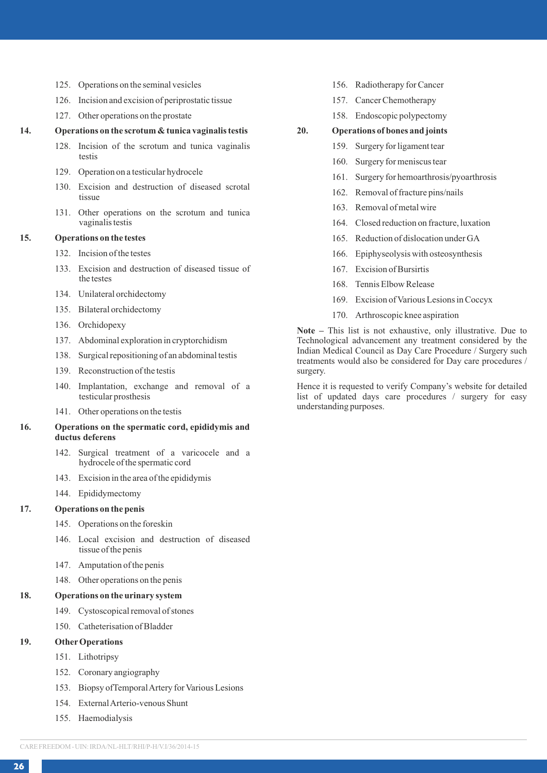- 125. Operations on the seminal vesicles
- 126. Incision and excision of periprostatic tissue
- 127. Other operations on the prostate

#### **14. Operations on the scrotum & tunica vaginalis testis**

- 128. Incision of the scrotum and tunica vaginalis testis
- 129. Operation on a testicular hydrocele
- 130. Excision and destruction of diseased scrotal tissue
- 131. Other operations on the scrotum and tunica vaginalis testis

## **15. Operations on the testes**

- 132. Incision of the testes
- 133. Excision and destruction of diseased tissue of the testes
- 134. Unilateral orchidectomy
- 135. Bilateral orchidectomy
- 136. Orchidopexy
- 137. Abdominal exploration in cryptorchidism
- 138. Surgical repositioning of an abdominal testis
- 139. Reconstruction of the testis
- 140. Implantation, exchange and removal of a testicular prosthesis
- 141. Other operations on the testis

#### **16. Operations on the spermatic cord, epididymis and ductus deferens**

- 142. Surgical treatment of a varicocele and a hydrocele of the spermatic cord
- 143. Excision in the area of the epididymis
- 144. Epididymectomy

## **17. Operations on the penis**

- 145. Operations on the foreskin
- 146. Local excision and destruction of diseased tissue of the penis
- 147. Amputation of the penis
- 148. Other operations on the penis

## **18. Operations on the urinary system**

- 149. Cystoscopical removal of stones
- 150. Catheterisation of Bladder

#### **19. OtherOperations**

- 151. Lithotripsy
- 152. Coronary angiography
- 153. Biopsy ofTemporal Artery for Various Lesions
- 154. External Arterio-venous Shunt
- 155. Haemodialysis
- 156. Radiotherapy for Cancer
- 157. Cancer Chemotherapy
- 158. Endoscopic polypectomy

### **20. Operations of bones and joints**

- 159. Surgery for ligament tear
- 160. Surgery for meniscus tear
- 161. Surgery for hemoarthrosis/pyoarthrosis
- 162. Removal of fracture pins/nails
- 163. Removal of metal wire
- 164. Closed reduction on fracture, luxation
- 165. Reduction of dislocation under GA
- 166. Epiphyseolysis with osteosynthesis
- 167. Excision of Bursirtis
- 168. Tennis Elbow Release
- 169. Excision of Various Lesions in Coccyx
- 170. Arthroscopic knee aspiration

**Note –** This list is not exhaustive, only illustrative. Due to Technological advancement any treatment considered by the Indian Medical Council as Day Care Procedure / Surgery such treatments would also be considered for Day care procedures / surgery.

Hence it is requested to verify Company's website for detailed list of updated days care procedures / surgery for easy understanding purposes.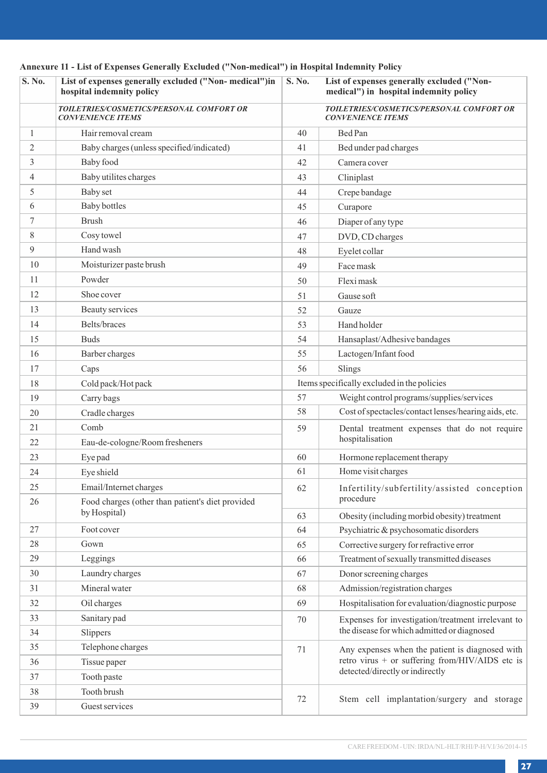| S. No.         | List of expenses generally excluded ("Non-medical")in<br>hospital indemnity policy | S. No. | List of expenses generally excluded ("Non-<br>medical") in hospital indemnity policy |
|----------------|------------------------------------------------------------------------------------|--------|--------------------------------------------------------------------------------------|
|                | TOILETRIES/COSMETICS/PERSONAL COMFORT OR<br><b>CONVENIENCE ITEMS</b>               |        | TOILETRIES/COSMETICS/PERSONAL COMFORT OR<br><b>CONVENIENCE ITEMS</b>                 |
| $\mathbf{1}$   | Hair removal cream                                                                 | 40     | Bed Pan                                                                              |
| $\overline{c}$ | Baby charges (unless specified/indicated)                                          | 41     | Bed under pad charges                                                                |
| 3              | Baby food                                                                          | 42     | Camera cover                                                                         |
| $\overline{4}$ | Baby utilites charges                                                              | 43     | Cliniplast                                                                           |
| 5              | Baby set                                                                           | 44     | Crepe bandage                                                                        |
| 6              | Baby bottles                                                                       | 45     | Curapore                                                                             |
| 7              | Brush                                                                              | 46     | Diaper of any type                                                                   |
| 8              | Cosy towel                                                                         | 47     | DVD, CD charges                                                                      |
| 9              | Hand wash                                                                          | 48     | Eyelet collar                                                                        |
| 10             | Moisturizer paste brush                                                            | 49     | Face mask                                                                            |
| 11             | Powder                                                                             | 50     | Flexi mask                                                                           |
| 12             | Shoe cover                                                                         | 51     | Gause soft                                                                           |
| 13             | Beauty services                                                                    | 52     | Gauze                                                                                |
| 14             | Belts/braces                                                                       | 53     | Hand holder                                                                          |
| 15             | <b>Buds</b>                                                                        | 54     | Hansaplast/Adhesive bandages                                                         |
| 16             | Barber charges                                                                     | 55     | Lactogen/Infant food                                                                 |
| 17             | Caps                                                                               | 56     | Slings                                                                               |
| 18             | Cold pack/Hot pack                                                                 |        | Items specifically excluded in the policies                                          |
| 19             | Carry bags                                                                         | 57     | Weight control programs/supplies/services                                            |
| 20             | Cradle charges                                                                     | 58     | Cost of spectacles/contact lenses/hearing aids, etc.                                 |
| 21             | Comb                                                                               | 59     | Dental treatment expenses that do not require                                        |
| 22             | Eau-de-cologne/Room fresheners                                                     |        | hospitalisation                                                                      |
| 23             | Eye pad                                                                            | 60     | Hormone replacement therapy                                                          |
| 24             | Eye shield                                                                         | 61     | Home visit charges                                                                   |
| 25             | Email/Internet charges                                                             | 62     | Infertility/subfertility/assisted conception                                         |
| 26             | Food charges (other than patient's diet provided                                   |        | procedure                                                                            |
|                | by Hospital)                                                                       | 63     | Obesity (including morbid obesity) treatment                                         |
| 27             | Foot cover                                                                         | 64     | Psychiatric & psychosomatic disorders                                                |
| 28             | Gown                                                                               | 65     | Corrective surgery for refractive error                                              |
| 29             | Leggings                                                                           | 66     | Treatment of sexually transmitted diseases                                           |
| 30             | Laundry charges                                                                    | 67     | Donor screening charges                                                              |
| 31             | Mineral water                                                                      | 68     | Admission/registration charges                                                       |
| 32             | Oil charges                                                                        | 69     | Hospitalisation for evaluation/diagnostic purpose                                    |
| 33             | Sanitary pad                                                                       | 70     | Expenses for investigation/treatment irrelevant to                                   |
| 34             | Slippers                                                                           |        | the disease for which admitted or diagnosed                                          |
| 35             | Telephone charges                                                                  | 71     | Any expenses when the patient is diagnosed with                                      |
| 36             | Tissue paper                                                                       |        | retro virus + or suffering from/HIV/AIDS etc is                                      |
| 37             | Tooth paste                                                                        |        | detected/directly or indirectly                                                      |
| 38             | Tooth brush                                                                        | 72     | Stem cell implantation/surgery and storage                                           |
| 39             | Guest services                                                                     |        |                                                                                      |

# **Annexure 11 - List of Expenses Generally Excluded ("Non-medical") in Hospital Indemnity Policy**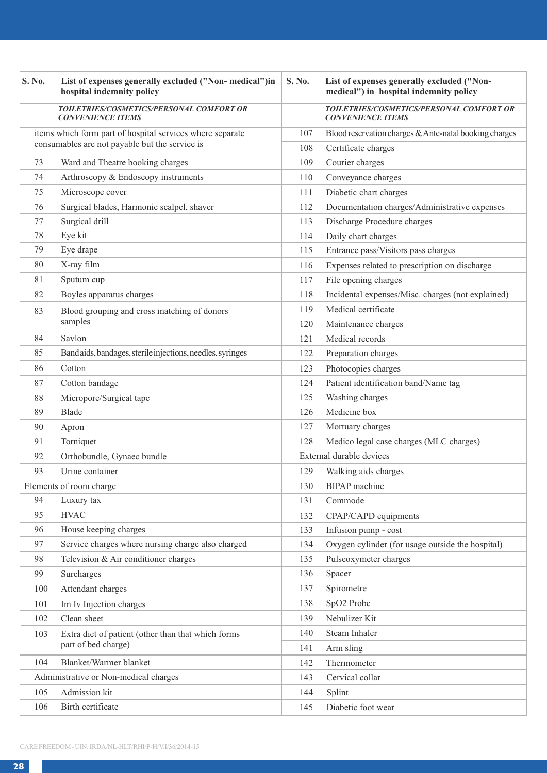| S. No.                                                    | List of expenses generally excluded ("Non-medical")in<br>hospital indemnity policy | S. No. | List of expenses generally excluded ("Non-<br>medical") in hospital indemnity policy |
|-----------------------------------------------------------|------------------------------------------------------------------------------------|--------|--------------------------------------------------------------------------------------|
|                                                           | TOILETRIES/COSMETICS/PERSONAL COMFORT OR<br><b>CONVENIENCE ITEMS</b>               |        | TOILETRIES/COSMETICS/PERSONAL COMFORT OR<br><b>CONVENIENCE ITEMS</b>                 |
| items which form part of hospital services where separate |                                                                                    | 107    | Blood reservation charges & Ante-natal booking charges                               |
|                                                           | consumables are not payable but the service is                                     | 108    | Certificate charges                                                                  |
| 73                                                        | Ward and Theatre booking charges                                                   | 109    | Courier charges                                                                      |
| 74                                                        | Arthroscopy & Endoscopy instruments                                                | 110    | Conveyance charges                                                                   |
| 75                                                        | Microscope cover                                                                   | 111    | Diabetic chart charges                                                               |
| 76                                                        | Surgical blades, Harmonic scalpel, shaver                                          | 112    | Documentation charges/Administrative expenses                                        |
| 77                                                        | Surgical drill                                                                     | 113    | Discharge Procedure charges                                                          |
| 78                                                        | Eye kit                                                                            | 114    | Daily chart charges                                                                  |
| 79                                                        | Eye drape                                                                          | 115    | Entrance pass/Visitors pass charges                                                  |
| 80                                                        | X-ray film                                                                         | 116    | Expenses related to prescription on discharge                                        |
| 81                                                        | Sputum cup                                                                         | 117    | File opening charges                                                                 |
| 82                                                        | Boyles apparatus charges                                                           | 118    | Incidental expenses/Misc. charges (not explained)                                    |
| 83                                                        | Blood grouping and cross matching of donors                                        | 119    | Medical certificate                                                                  |
|                                                           | samples                                                                            | 120    | Maintenance charges                                                                  |
| 84                                                        | Savlon                                                                             | 121    | Medical records                                                                      |
| 85                                                        | Bandaids, bandages, sterile injections, needles, syringes                          | 122    | Preparation charges                                                                  |
| 86                                                        | Cotton                                                                             | 123    | Photocopies charges                                                                  |
| 87                                                        | Cotton bandage                                                                     | 124    | Patient identification band/Name tag                                                 |
| 88                                                        | Micropore/Surgical tape                                                            | 125    | Washing charges                                                                      |
| 89                                                        | Blade                                                                              | 126    | Medicine box                                                                         |
| 90                                                        | Apron                                                                              | 127    | Mortuary charges                                                                     |
| 91                                                        | Torniquet                                                                          | 128    | Medico legal case charges (MLC charges)                                              |
| 92                                                        | Orthobundle, Gynaec bundle                                                         |        | External durable devices                                                             |
| 93                                                        | Urine container                                                                    | 129    | Walking aids charges                                                                 |
|                                                           | Elements of room charge                                                            | 130    | <b>BIPAP</b> machine                                                                 |
| 94                                                        | Luxury tax                                                                         | 131    | Commode                                                                              |
| 95                                                        | <b>HVAC</b>                                                                        | 132    | CPAP/CAPD equipments                                                                 |
| 96                                                        | House keeping charges                                                              | 133    | Infusion pump - cost                                                                 |
| 97                                                        | Service charges where nursing charge also charged                                  | 134    | Oxygen cylinder (for usage outside the hospital)                                     |
| 98                                                        | Television & Air conditioner charges                                               | 135    | Pulseoxymeter charges                                                                |
| 99                                                        | Surcharges                                                                         | 136    | Spacer                                                                               |
| 100                                                       | Attendant charges                                                                  | 137    | Spirometre                                                                           |
| 101                                                       | Im Iv Injection charges                                                            | 138    | SpO <sub>2</sub> Probe                                                               |
| 102                                                       | Clean sheet                                                                        | 139    | Nebulizer Kit                                                                        |
| 103                                                       | Extra diet of patient (other than that which forms                                 | 140    | Steam Inhaler                                                                        |
|                                                           | part of bed charge)                                                                | 141    | Arm sling                                                                            |
| 104                                                       | Blanket/Warmer blanket                                                             | 142    | Thermometer                                                                          |
|                                                           | Administrative or Non-medical charges                                              | 143    | Cervical collar                                                                      |
| 105                                                       | Admission kit                                                                      | 144    | Splint                                                                               |
| 106                                                       | Birth certificate                                                                  | 145    | Diabetic foot wear                                                                   |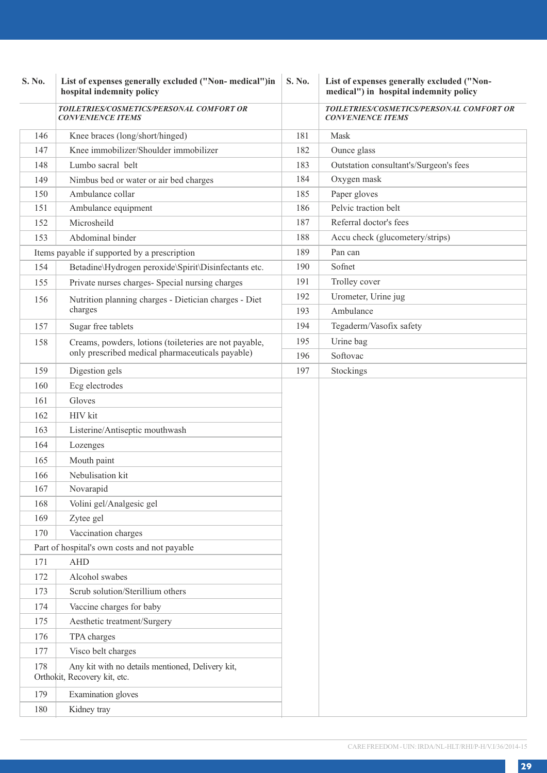| S. No. | List of expenses generally excluded ("Non-medical")in<br>hospital indemnity policy | S. No. | List of expenses generally excluded ("Non-<br>medical") in hospital indemnity policy |
|--------|------------------------------------------------------------------------------------|--------|--------------------------------------------------------------------------------------|
|        | TOILETRIES/COSMETICS/PERSONAL COMFORT OR<br><b>CONVENIENCE ITEMS</b>               |        | TOILETRIES/COSMETICS/PERSONAL COMFORT OR<br><b>CONVENIENCE ITEMS</b>                 |
| 146    | Knee braces (long/short/hinged)                                                    | 181    | Mask                                                                                 |
| 147    | Knee immobilizer/Shoulder immobilizer                                              | 182    | Ounce glass                                                                          |
| 148    | Lumbo sacral belt                                                                  | 183    | Outstation consultant's/Surgeon's fees                                               |
| 149    | Nimbus bed or water or air bed charges                                             | 184    | Oxygen mask                                                                          |
| 150    | Ambulance collar                                                                   | 185    | Paper gloves                                                                         |
| 151    | Ambulance equipment                                                                | 186    | Pelvic traction belt                                                                 |
| 152    | Microsheild                                                                        | 187    | Referral doctor's fees                                                               |
| 153    | Abdominal binder                                                                   | 188    | Accu check (glucometery/strips)                                                      |
|        | Items payable if supported by a prescription                                       | 189    | Pan can                                                                              |
| 154    | Betadine\Hydrogen peroxide\Spirit\Disinfectants etc.                               | 190    | Sofnet                                                                               |
| 155    | Private nurses charges- Special nursing charges                                    | 191    | Trolley cover                                                                        |
| 156    | Nutrition planning charges - Dietician charges - Diet                              | 192    | Urometer, Urine jug                                                                  |
|        | charges                                                                            | 193    | Ambulance                                                                            |
| 157    | Sugar free tablets                                                                 | 194    | Tegaderm/Vasofix safety                                                              |
| 158    | Creams, powders, lotions (toileteries are not payable,                             | 195    | Urine bag                                                                            |
|        | only prescribed medical pharmaceuticals payable)                                   | 196    | Softovac                                                                             |
| 159    | Digestion gels                                                                     | 197    | Stockings                                                                            |
| 160    | Ecg electrodes                                                                     |        |                                                                                      |
| 161    | Gloves                                                                             |        |                                                                                      |
| 162    | HIV kit                                                                            |        |                                                                                      |
| 163    | Listerine/Antiseptic mouthwash                                                     |        |                                                                                      |
| 164    | Lozenges                                                                           |        |                                                                                      |
| 165    | Mouth paint                                                                        |        |                                                                                      |
| 166    | Nebulisation kit                                                                   |        |                                                                                      |
| 167    | Novarapid                                                                          |        |                                                                                      |
| 168    | Volini gel/Analgesic gel                                                           |        |                                                                                      |
| 169    | Zytee gel                                                                          |        |                                                                                      |
| 170    | Vaccination charges                                                                |        |                                                                                      |
|        | Part of hospital's own costs and not payable                                       |        |                                                                                      |
| 171    | <b>AHD</b>                                                                         |        |                                                                                      |
| 172    | Alcohol swabes                                                                     |        |                                                                                      |
| 173    | Scrub solution/Sterillium others                                                   |        |                                                                                      |
| 174    | Vaccine charges for baby                                                           |        |                                                                                      |
| 175    | Aesthetic treatment/Surgery                                                        |        |                                                                                      |
| 176    | TPA charges                                                                        |        |                                                                                      |
| 177    | Visco belt charges                                                                 |        |                                                                                      |
| 178    | Any kit with no details mentioned, Delivery kit,<br>Orthokit, Recovery kit, etc.   |        |                                                                                      |
| 179    | <b>Examination</b> gloves                                                          |        |                                                                                      |
| 180    | Kidney tray                                                                        |        |                                                                                      |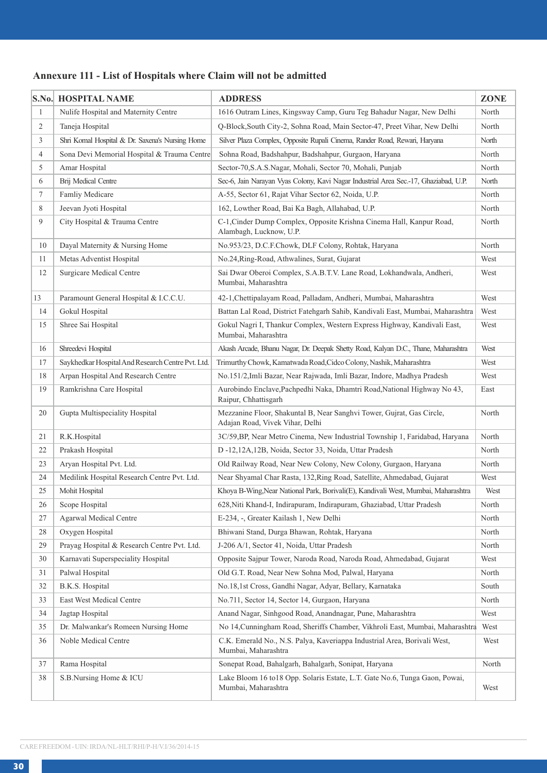# **Annexure 111 - List of Hospitals where Claim will not be admitted**

|                | S.No. HOSPITAL NAME                               | <b>ADDRESS</b>                                                                                           | ZONE  |
|----------------|---------------------------------------------------|----------------------------------------------------------------------------------------------------------|-------|
| $\mathbf{1}$   | Nulife Hospital and Maternity Centre              | 1616 Outram Lines, Kingsway Camp, Guru Teg Bahadur Nagar, New Delhi                                      | North |
| 2              | Taneja Hospital                                   | Q-Block, South City-2, Sohna Road, Main Sector-47, Preet Vihar, New Delhi                                | North |
| 3              | Shri Komal Hospital & Dr. Saxena's Nursing Home   | Silver Plaza Complex, Opposite Rupali Cinema, Rander Road, Rewari, Haryana                               | North |
| $\overline{4}$ | Sona Devi Memorial Hospital & Trauma Centre       | Sohna Road, Badshahpur, Badshahpur, Gurgaon, Haryana                                                     | North |
| 5              | Amar Hospital                                     | Sector-70, S.A.S.Nagar, Mohali, Sector 70, Mohali, Punjab                                                | North |
| 6              | Brij Medical Centre                               | Sec-6, Jain Narayan Vyas Colony, Kavi Nagar Industrial Area Sec.-17, Ghaziabad, U.P.                     | North |
| $\tau$         | Famliy Medicare                                   | A-55, Sector 61, Rajat Vihar Sector 62, Noida, U.P.                                                      | North |
| 8              | Jeevan Jyoti Hospital                             | 162, Lowther Road, Bai Ka Bagh, Allahabad, U.P.                                                          | North |
| 9              | City Hospital & Trauma Centre                     | C-1, Cinder Dump Complex, Opposite Krishna Cinema Hall, Kanpur Road,<br>Alambagh, Lucknow, U.P.          | North |
| 10             | Dayal Maternity & Nursing Home                    | No.953/23, D.C.F.Chowk, DLF Colony, Rohtak, Haryana                                                      | North |
| 11             | Metas Adventist Hospital                          | No.24, Ring-Road, Athwalines, Surat, Gujarat                                                             | West  |
| 12             | <b>Surgicare Medical Centre</b>                   | Sai Dwar Oberoi Complex, S.A.B.T.V. Lane Road, Lokhandwala, Andheri,<br>Mumbai, Maharashtra              | West  |
| 13             | Paramount General Hospital & I.C.C.U.             | 42-1, Chettipalayam Road, Palladam, Andheri, Mumbai, Maharashtra                                         | West  |
| 14             | Gokul Hospital                                    | Battan Lal Road, District Fatehgarh Sahib, Kandivali East, Mumbai, Maharashtra                           | West  |
| 15             | Shree Sai Hospital                                | Gokul Nagri I, Thankur Complex, Western Express Highway, Kandivali East,<br>Mumbai, Maharashtra          | West  |
| 16             | Shreedevi Hospital                                | Akash Arcade, Bhanu Nagar, Dr. Deepak Shetty Road, Kalyan D.C., Thane, Maharashtra                       | West  |
| 17             | Saykhedkar Hospital And Research Centre Pvt. Ltd. | Trimurthy Chowk, Kamatwada Road, Cidco Colony, Nashik, Maharashtra                                       | West  |
| 18             | Arpan Hospital And Research Centre                | No.151/2,Imli Bazar, Near Rajwada, Imli Bazar, Indore, Madhya Pradesh                                    | West  |
| 19             | Ramkrishna Care Hospital                          | Aurobindo Enclave, Pachpedhi Naka, Dhamtri Road, National Highway No 43,<br>Raipur, Chhattisgarh         | East  |
| 20             | Gupta Multispeciality Hospital                    | Mezzanine Floor, Shakuntal B, Near Sanghvi Tower, Gujrat, Gas Circle,<br>Adajan Road, Vivek Vihar, Delhi | North |
| 21             | R.K.Hospital                                      | 3C/59, BP, Near Metro Cinema, New Industrial Township 1, Faridabad, Haryana                              | North |
| 22             | Prakash Hospital                                  | D -12,12A,12B, Noida, Sector 33, Noida, Uttar Pradesh                                                    | North |
| 23             | Aryan Hospital Pvt. Ltd.                          | Old Railway Road, Near New Colony, New Colony, Gurgaon, Haryana                                          | North |
| 24             | Medilink Hospital Research Centre Pvt. Ltd.       | Near Shyamal Char Rasta, 132, Ring Road, Satellite, Ahmedabad, Gujarat                                   | West  |
| 25             | Mohit Hospital                                    | Khoya B-Wing, Near National Park, Borivali(E), Kandivali West, Mumbai, Maharashtra                       | West  |
| 26             | Scope Hospital                                    | 628, Niti Khand-I, Indirapuram, Indirapuram, Ghaziabad, Uttar Pradesh                                    | North |
| 27             | Agarwal Medical Centre                            | E-234, -, Greater Kailash 1, New Delhi                                                                   | North |
| 28             | Oxygen Hospital                                   | Bhiwani Stand, Durga Bhawan, Rohtak, Haryana                                                             | North |
| 29             | Prayag Hospital & Research Centre Pvt. Ltd.       | J-206 A/1, Sector 41, Noida, Uttar Pradesh                                                               | North |
| 30             | Karnavati Superspeciality Hospital                | Opposite Sajpur Tower, Naroda Road, Naroda Road, Ahmedabad, Gujarat                                      | West  |
| 31             | Palwal Hospital                                   | Old G.T. Road, Near New Sohna Mod, Palwal, Haryana                                                       | North |
| 32             | B.K.S. Hospital                                   | No.18,1st Cross, Gandhi Nagar, Adyar, Bellary, Karnataka                                                 | South |
| 33             | East West Medical Centre                          | No.711, Sector 14, Sector 14, Gurgaon, Haryana                                                           | North |
| 34             | Jagtap Hospital                                   | Anand Nagar, Sinhgood Road, Anandnagar, Pune, Maharashtra                                                | West  |
| 35             | Dr. Malwankar's Romeen Nursing Home               | No 14, Cunningham Road, Sheriffs Chamber, Vikhroli East, Mumbai, Maharashtra                             | West  |
| 36             | Noble Medical Centre                              | C.K. Emerald No., N.S. Palya, Kaveriappa Industrial Area, Borivali West,<br>Mumbai, Maharashtra          | West  |
| 37             | Rama Hospital                                     | Sonepat Road, Bahalgarh, Bahalgarh, Sonipat, Haryana                                                     | North |
| 38             | S.B.Nursing Home & ICU                            | Lake Bloom 16 to18 Opp. Solaris Estate, L.T. Gate No.6, Tunga Gaon, Powai,<br>Mumbai, Maharashtra        | West  |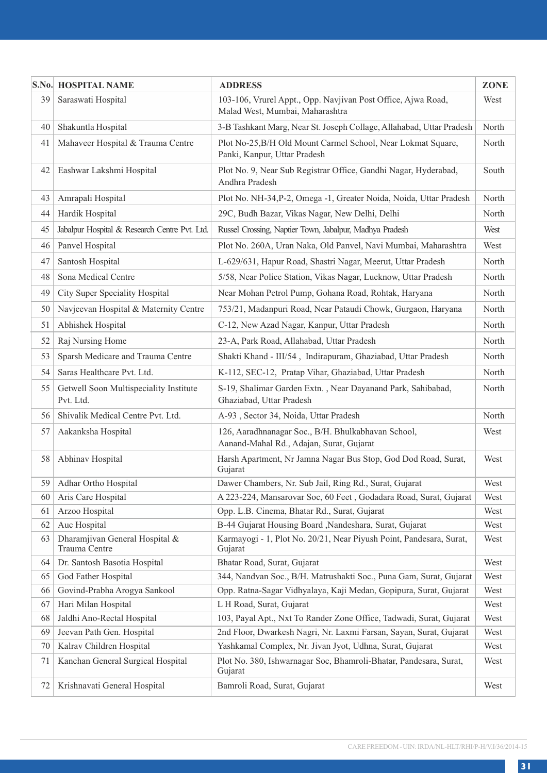|          | S.No. HOSPITAL NAME                                 | <b>ADDRESS</b>                                                                                  | ZONE  |
|----------|-----------------------------------------------------|-------------------------------------------------------------------------------------------------|-------|
| 39       | Saraswati Hospital                                  | 103-106, Vrurel Appt., Opp. Navjivan Post Office, Ajwa Road,<br>Malad West, Mumbai, Maharashtra | West  |
| 40       | Shakuntla Hospital                                  | 3-B Tashkant Marg, Near St. Joseph Collage, Allahabad, Uttar Pradesh                            | North |
| 41       | Mahaveer Hospital & Trauma Centre                   | Plot No-25, B/H Old Mount Carmel School, Near Lokmat Square,<br>Panki, Kanpur, Uttar Pradesh    | North |
| 42       | Eashwar Lakshmi Hospital                            | Plot No. 9, Near Sub Registrar Office, Gandhi Nagar, Hyderabad,<br>Andhra Pradesh               | South |
| 43       | Amrapali Hospital                                   | Plot No. NH-34, P-2, Omega -1, Greater Noida, Noida, Uttar Pradesh                              | North |
| 44       | Hardik Hospital                                     | 29C, Budh Bazar, Vikas Nagar, New Delhi, Delhi                                                  | North |
| 45       | Jabalpur Hospital & Research Centre Pvt. Ltd.       | Russel Crossing, Naptier Town, Jabalpur, Madhya Pradesh                                         | West  |
| 46       | Panvel Hospital                                     | Plot No. 260A, Uran Naka, Old Panvel, Navi Mumbai, Maharashtra                                  | West  |
| 47       | Santosh Hospital                                    | L-629/631, Hapur Road, Shastri Nagar, Meerut, Uttar Pradesh                                     | North |
| 48       | Sona Medical Centre                                 | 5/58, Near Police Station, Vikas Nagar, Lucknow, Uttar Pradesh                                  | North |
| 49       | City Super Speciality Hospital                      | Near Mohan Petrol Pump, Gohana Road, Rohtak, Haryana                                            | North |
| 50       | Navjeevan Hospital & Maternity Centre               | 753/21, Madanpuri Road, Near Pataudi Chowk, Gurgaon, Haryana                                    | North |
| 51       | Abhishek Hospital                                   | C-12, New Azad Nagar, Kanpur, Uttar Pradesh                                                     | North |
| 52       | Raj Nursing Home                                    | 23-A, Park Road, Allahabad, Uttar Pradesh                                                       | North |
| 53       | Sparsh Medicare and Trauma Centre                   | Shakti Khand - III/54, Indirapuram, Ghaziabad, Uttar Pradesh                                    | North |
| 54       | Saras Healthcare Pvt. Ltd.                          | K-112, SEC-12, Pratap Vihar, Ghaziabad, Uttar Pradesh                                           | North |
| 55       | Getwell Soon Multispeciality Institute<br>Pvt. Ltd. | S-19, Shalimar Garden Extn., Near Dayanand Park, Sahibabad,<br>Ghaziabad, Uttar Pradesh         | North |
| 56       | Shivalik Medical Centre Pvt. Ltd.                   | A-93, Sector 34, Noida, Uttar Pradesh                                                           | North |
| 57       | Aakanksha Hospital                                  | 126, Aaradhnanagar Soc., B/H. Bhulkabhavan School,<br>Aanand-Mahal Rd., Adajan, Surat, Gujarat  | West  |
| 58       | Abhinav Hospital                                    | Harsh Apartment, Nr Jamna Nagar Bus Stop, God Dod Road, Surat,<br>Gujarat                       | West  |
| 59       | Adhar Ortho Hospital                                | Dawer Chambers, Nr. Sub Jail, Ring Rd., Surat, Gujarat                                          | West  |
| 60       | Aris Care Hospital                                  | A 223-224, Mansarovar Soc, 60 Feet, Godadara Road, Surat, Gujarat                               | West  |
| 61       | Arzoo Hospital                                      | Opp. L.B. Cinema, Bhatar Rd., Surat, Gujarat                                                    | West  |
| 62       | Auc Hospital                                        | B-44 Gujarat Housing Board , Nandeshara, Surat, Gujarat                                         | West  |
| 63       | Dharamjivan General Hospital &<br>Trauma Centre     | Karmayogi - 1, Plot No. 20/21, Near Piyush Point, Pandesara, Surat,<br>Gujarat                  | West  |
| 64       | Dr. Santosh Basotia Hospital                        | Bhatar Road, Surat, Gujarat                                                                     | West  |
| 65       | God Father Hospital                                 | 344, Nandvan Soc., B/H. Matrushakti Soc., Puna Gam, Surat, Gujarat                              | West  |
| 66       | Govind-Prabha Arogya Sankool                        | Opp. Ratna-Sagar Vidhyalaya, Kaji Medan, Gopipura, Surat, Gujarat                               | West  |
| 67       | Hari Milan Hospital                                 | L H Road, Surat, Gujarat                                                                        | West  |
| 68       | Jaldhi Ano-Rectal Hospital                          | 103, Payal Apt., Nxt To Rander Zone Office, Tadwadi, Surat, Gujarat                             | West  |
| 69       | Jeevan Path Gen. Hospital                           | 2nd Floor, Dwarkesh Nagri, Nr. Laxmi Farsan, Sayan, Surat, Gujarat                              | West  |
| 70<br>71 | Kalrav Children Hospital                            | Yashkamal Complex, Nr. Jivan Jyot, Udhna, Surat, Gujarat                                        | West  |
|          | Kanchan General Surgical Hospital                   | Plot No. 380, Ishwarnagar Soc, Bhamroli-Bhatar, Pandesara, Surat,<br>Gujarat                    | West  |
| 72       | Krishnavati General Hospital                        | Bamroli Road, Surat, Gujarat                                                                    | West  |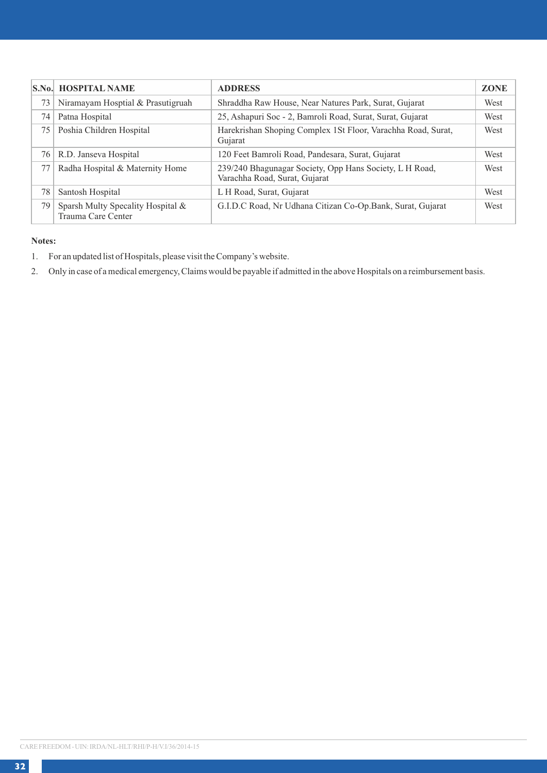|    | <b>S.No. HOSPITAL NAME</b>                              | <b>ADDRESS</b>                                                                           | <b>ZONE</b> |
|----|---------------------------------------------------------|------------------------------------------------------------------------------------------|-------------|
| 73 | Niramayam Hosptial & Prasutigruah                       | Shraddha Raw House, Near Natures Park, Surat, Gujarat                                    | West        |
| 74 | Patna Hospital                                          | 25, Ashapuri Soc - 2, Bamroli Road, Surat, Surat, Gujarat                                | West        |
| 75 | Poshia Children Hospital                                | Harekrishan Shoping Complex 1St Floor, Varachha Road, Surat,<br>Gujarat                  | West        |
| 76 | R.D. Janseva Hospital                                   | 120 Feet Bamroli Road, Pandesara, Surat, Gujarat                                         | West        |
| 77 | Radha Hospital & Maternity Home                         | 239/240 Bhagunagar Society, Opp Hans Society, L H Road,<br>Varachha Road, Surat, Gujarat | West        |
| 78 | Santosh Hospital                                        | L H Road, Surat, Gujarat                                                                 | West        |
| 79 | Sparsh Multy Specality Hospital &<br>Trauma Care Center | G.I.D.C Road, Nr Udhana Citizan Co-Op.Bank, Surat, Gujarat                               | West        |

# **Notes:**

- 1. For an updated list of Hospitals, please visit the Company's website.
- 2. Only in case of a medical emergency, Claims would be payable if admitted in the above Hospitals on a reimbursement basis.